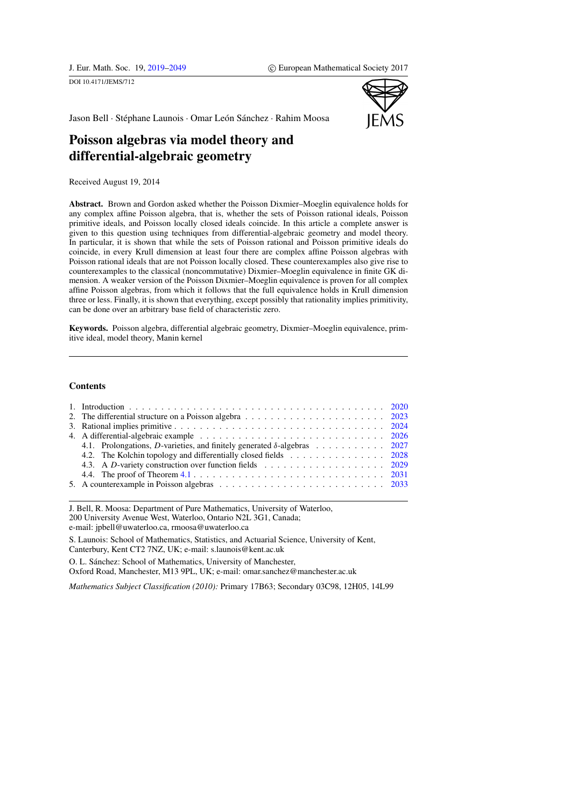<span id="page-0-0"></span>DOI 10.4171/JEMS/712



Jason Bell · Stéphane Launois · Omar León Sánchez · Rahim Moosa

# Poisson algebras via model theory and differential-algebraic geometry

Received August 19, 2014

Abstract. Brown and Gordon asked whether the Poisson Dixmier–Moeglin equivalence holds for any complex affine Poisson algebra, that is, whether the sets of Poisson rational ideals, Poisson primitive ideals, and Poisson locally closed ideals coincide. In this article a complete answer is given to this question using techniques from differential-algebraic geometry and model theory. In particular, it is shown that while the sets of Poisson rational and Poisson primitive ideals do coincide, in every Krull dimension at least four there are complex affine Poisson algebras with Poisson rational ideals that are not Poisson locally closed. These counterexamples also give rise to counterexamples to the classical (noncommutative) Dixmier–Moeglin equivalence in finite GK dimension. A weaker version of the Poisson Dixmier–Moeglin equivalence is proven for all complex affine Poisson algebras, from which it follows that the full equivalence holds in Krull dimension three or less. Finally, it is shown that everything, except possibly that rationality implies primitivity, can be done over an arbitrary base field of characteristic zero.

Keywords. Poisson algebra, differential algebraic geometry, Dixmier–Moeglin equivalence, primitive ideal, model theory, Manin kernel

## **Contents**

| 4.1. Prolongations, D-varieties, and finitely generated $\delta$ -algebras  2027                                               |  |
|--------------------------------------------------------------------------------------------------------------------------------|--|
| 4.2. The Kolchin topology and differentially closed fields 2028                                                                |  |
| 4.3. A D-variety construction over function fields 2029                                                                        |  |
| 4.4. The proof of Theorem 4.1 $\ldots$ $\ldots$ $\ldots$ $\ldots$ $\ldots$ $\ldots$ $\ldots$ $\ldots$ $\ldots$ $\ldots$ $2031$ |  |
|                                                                                                                                |  |

J. Bell, R. Moosa: Department of Pure Mathematics, University of Waterloo, 200 University Avenue West, Waterloo, Ontario N2L 3G1, Canada; e-mail: jpbell@uwaterloo.ca, rmoosa@uwaterloo.ca

S. Launois: School of Mathematics, Statistics, and Actuarial Science, University of Kent, Canterbury, Kent CT2 7NZ, UK; e-mail: s.launois@kent.ac.uk

O. L. Sánchez: School of Mathematics, University of Manchester,

Oxford Road, Manchester, M13 9PL, UK; e-mail: omar.sanchez@manchester.ac.uk

*Mathematics Subject Classification (2010):* Primary 17B63; Secondary 03C98, 12H05, 14L99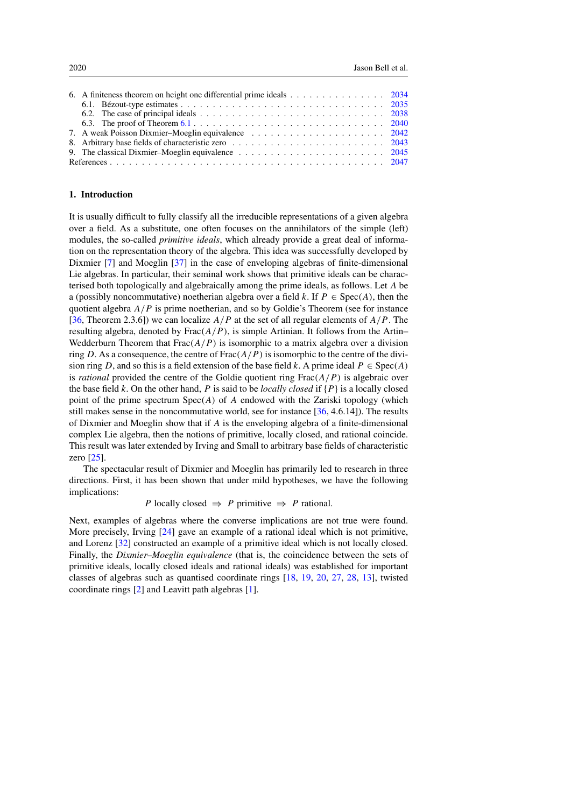| 6. A finiteness theorem on height one differential prime ideals 2034                                                         |  |
|------------------------------------------------------------------------------------------------------------------------------|--|
|                                                                                                                              |  |
| 6.2. The case of principal ideals $\ldots \ldots \ldots \ldots \ldots \ldots \ldots \ldots \ldots \ldots \ldots \ldots$ 2038 |  |
|                                                                                                                              |  |
|                                                                                                                              |  |
|                                                                                                                              |  |
| 9. The classical Dixmier-Moeglin equivalence $\ldots \ldots \ldots \ldots \ldots \ldots \ldots \ldots \ldots$ 2045           |  |
|                                                                                                                              |  |

# <span id="page-1-0"></span>1. Introduction

It is usually difficult to fully classify all the irreducible representations of a given algebra over a field. As a substitute, one often focuses on the annihilators of the simple (left) modules, the so-called *primitive ideals*, which already provide a great deal of information on the representation theory of the algebra. This idea was successfully developed by Dixmier [\[7\]](#page-29-0) and Moeglin [\[37\]](#page-30-1) in the case of enveloping algebras of finite-dimensional Lie algebras. In particular, their seminal work shows that primitive ideals can be characterised both topologically and algebraically among the prime ideals, as follows. Let A be a (possibly noncommutative) noetherian algebra over a field k. If  $P \in Spec(A)$ , then the quotient algebra  $A/P$  is prime noetherian, and so by Goldie's Theorem (see for instance [\[36,](#page-30-2) Theorem 2.3.6]) we can localize  $A/P$  at the set of all regular elements of  $A/P$ . The resulting algebra, denoted by  $Frac(A/P)$ , is simple Artinian. It follows from the Artin– Wedderburn Theorem that  $Frac(A/P)$  is isomorphic to a matrix algebra over a division ring D. As a consequence, the centre of  $Frac(A/P)$  is isomorphic to the centre of the division ring D, and so this is a field extension of the base field k. A prime ideal  $P \in \text{Spec}(A)$ is *rational* provided the centre of the Goldie quotient ring  $Frac(A/P)$  is algebraic over the base field k. On the other hand, P is said to be *locally closed* if  $\{P\}$  is a locally closed point of the prime spectrum  $Spec(A)$  of A endowed with the Zariski topology (which still makes sense in the noncommutative world, see for instance [\[36,](#page-30-2) 4.6.14]). The results of Dixmier and Moeglin show that if A is the enveloping algebra of a finite-dimensional complex Lie algebra, then the notions of primitive, locally closed, and rational coincide. This result was later extended by Irving and Small to arbitrary base fields of characteristic zero [\[25\]](#page-29-1).

The spectacular result of Dixmier and Moeglin has primarily led to research in three directions. First, it has been shown that under mild hypotheses, we have the following implications:

P locally closed  $\Rightarrow$  P primitive  $\Rightarrow$  P rational.

Next, examples of algebras where the converse implications are not true were found. More precisely, Irving [\[24\]](#page-29-2) gave an example of a rational ideal which is not primitive, and Lorenz [\[32\]](#page-30-3) constructed an example of a primitive ideal which is not locally closed. Finally, the *Dixmier–Moeglin equivalence* (that is, the coincidence between the sets of primitive ideals, locally closed ideals and rational ideals) was established for important classes of algebras such as quantised coordinate rings [\[18,](#page-29-3) [19,](#page-29-4) [20,](#page-29-5) [27,](#page-30-4) [28,](#page-30-5) [13\]](#page-29-6), twisted coordinate rings [\[2\]](#page-28-1) and Leavitt path algebras [\[1\]](#page-28-2).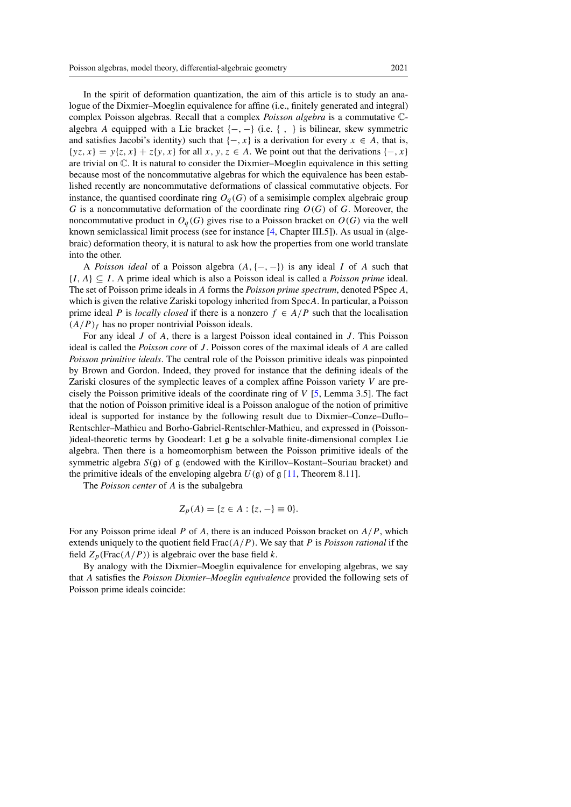In the spirit of deformation quantization, the aim of this article is to study an analogue of the Dixmier–Moeglin equivalence for affine (i.e., finitely generated and integral) complex Poisson algebras. Recall that a complex *Poisson algebra* is a commutative Calgebra A equipped with a Lie bracket  $\{-, -\}$  (i.e.  $\{ , \}$ ) is bilinear, skew symmetric and satisfies Jacobi's identity) such that  $\{-, x\}$  is a derivation for every  $x \in A$ , that is,  $\{yz, x\} = y\{z, x\} + z\{y, x\}$  for all  $x, y, z \in A$ . We point out that the derivations  $\{-, x\}$ are trivial on C. It is natural to consider the Dixmier–Moeglin equivalence in this setting because most of the noncommutative algebras for which the equivalence has been established recently are noncommutative deformations of classical commutative objects. For instance, the quantised coordinate ring  $O<sub>q</sub>(G)$  of a semisimple complex algebraic group G is a noncommutative deformation of the coordinate ring  $O(G)$  of G. Moreover, the noncommutative product in  $O_q(G)$  gives rise to a Poisson bracket on  $O(G)$  via the well known semiclassical limit process (see for instance [\[4,](#page-29-7) Chapter III.5]). As usual in (algebraic) deformation theory, it is natural to ask how the properties from one world translate into the other.

A *Poisson ideal* of a Poisson algebra (A,{−, −}) is any ideal I of A such that {I,A} ⊆ I . A prime ideal which is also a Poisson ideal is called a *Poisson prime* ideal. The set of Poisson prime ideals in A forms the *Poisson prime spectrum*, denoted PSpec A, which is given the relative Zariski topology inherited from SpecA. In particular, a Poisson prime ideal P is *locally closed* if there is a nonzero  $f \in A/P$  such that the localisation  $(A/P)<sub>f</sub>$  has no proper nontrivial Poisson ideals.

For any ideal J of A, there is a largest Poisson ideal contained in J. This Poisson ideal is called the *Poisson core* of *J*. Poisson cores of the maximal ideals of *A* are called *Poisson primitive ideals*. The central role of the Poisson primitive ideals was pinpointed by Brown and Gordon. Indeed, they proved for instance that the defining ideals of the Zariski closures of the symplectic leaves of a complex affine Poisson variety V are precisely the Poisson primitive ideals of the coordinate ring of  $V$  [\[5,](#page-29-8) Lemma 3.5]. The fact that the notion of Poisson primitive ideal is a Poisson analogue of the notion of primitive ideal is supported for instance by the following result due to Dixmier–Conze–Duflo– Rentschler–Mathieu and Borho-Gabriel-Rentschler-Mathieu, and expressed in (Poisson- )ideal-theoretic terms by Goodearl: Let g be a solvable finite-dimensional complex Lie algebra. Then there is a homeomorphism between the Poisson primitive ideals of the symmetric algebra  $S(\mathfrak{g})$  of  $\mathfrak{g}$  (endowed with the Kirillov–Kostant–Souriau bracket) and the primitive ideals of the enveloping algebra  $U(\mathfrak{g})$  of  $\mathfrak{g}$  [\[11,](#page-29-9) Theorem 8.11].

The *Poisson center* of A is the subalgebra

$$
Z_p(A) = \{ z \in A : \{ z, - \} \equiv 0 \}.
$$

For any Poisson prime ideal P of A, there is an induced Poisson bracket on  $A/P$ , which extends uniquely to the quotient field  $Frac(A/P)$ . We say that P is *Poisson rational* if the field  $Z_p$ (Frac( $A/P$ )) is algebraic over the base field k.

By analogy with the Dixmier–Moeglin equivalence for enveloping algebras, we say that A satisfies the *Poisson Dixmier–Moeglin equivalence* provided the following sets of Poisson prime ideals coincide: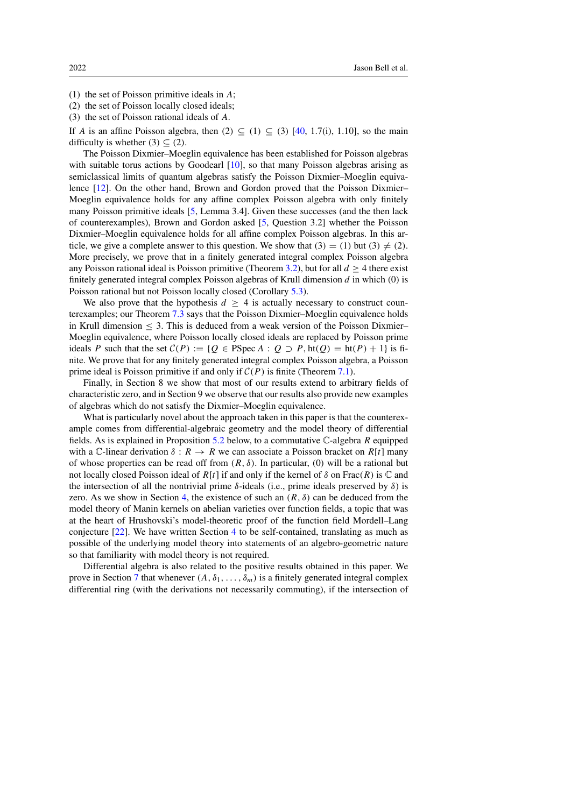- (1) the set of Poisson primitive ideals in A;
- (2) the set of Poisson locally closed ideals;
- (3) the set of Poisson rational ideals of A.

If A is an affine Poisson algebra, then  $(2) \subseteq (1) \subseteq (3)$  [\[40,](#page-30-6) 1.7(i), 1.10], so the main difficulty is whether  $(3) \subset (2)$ .

The Poisson Dixmier–Moeglin equivalence has been established for Poisson algebras with suitable torus actions by Goodearl [\[10\]](#page-29-10), so that many Poisson algebras arising as semiclassical limits of quantum algebras satisfy the Poisson Dixmier–Moeglin equivalence [\[12\]](#page-29-11). On the other hand, Brown and Gordon proved that the Poisson Dixmier– Moeglin equivalence holds for any affine complex Poisson algebra with only finitely many Poisson primitive ideals [\[5,](#page-29-8) Lemma 3.4]. Given these successes (and the then lack of counterexamples), Brown and Gordon asked [\[5,](#page-29-8) Question 3.2] whether the Poisson Dixmier–Moeglin equivalence holds for all affine complex Poisson algebras. In this article, we give a complete answer to this question. We show that  $(3) = (1)$  but  $(3) \neq (2)$ . More precisely, we prove that in a finitely generated integral complex Poisson algebra any Poisson rational ideal is Poisson primitive (Theorem [3.2\)](#page-6-0), but for all  $d > 4$  there exist finitely generated integral complex Poisson algebras of Krull dimension  $d$  in which  $(0)$  is Poisson rational but not Poisson locally closed (Corollary [5.3\)](#page-15-2).

We also prove that the hypothesis  $d \geq 4$  is actually necessary to construct counterexamples; our Theorem [7.3](#page-24-1) says that the Poisson Dixmier–Moeglin equivalence holds in Krull dimension  $\leq$  3. This is deduced from a weak version of the Poisson Dixmier– Moeglin equivalence, where Poisson locally closed ideals are replaced by Poisson prime ideals P such that the set  $C(P) := \{Q \in \text{PSpec } A : Q \supset P, \text{ht}(Q) = \text{ht}(P) + 1\}$  is finite. We prove that for any finitely generated integral complex Poisson algebra, a Poisson prime ideal is Poisson primitive if and only if  $C(P)$  is finite (Theorem [7.1\)](#page-23-1).

Finally, in Section 8 we show that most of our results extend to arbitrary fields of characteristic zero, and in Section 9 we observe that our results also provide new examples of algebras which do not satisfy the Dixmier–Moeglin equivalence.

What is particularly novel about the approach taken in this paper is that the counterexample comes from differential-algebraic geometry and the model theory of differential fields. As is explained in Proposition [5.2](#page-14-1) below, to a commutative  $\mathbb{C}$ -algebra R equipped with a C-linear derivation  $\delta: R \to R$  we can associate a Poisson bracket on R[t] many of whose properties can be read off from  $(R, \delta)$ . In particular, (0) will be a rational but not locally closed Poisson ideal of  $R[t]$  if and only if the kernel of  $\delta$  on Frac $(R)$  is  $\mathbb C$  and the intersection of all the nontrivial prime  $\delta$ -ideals (i.e., prime ideals preserved by  $\delta$ ) is zero. As we show in Section [4,](#page-7-0) the existence of such an  $(R, \delta)$  can be deduced from the model theory of Manin kernels on abelian varieties over function fields, a topic that was at the heart of Hrushovski's model-theoretic proof of the function field Mordell–Lang conjecture [\[22\]](#page-29-12). We have written Section [4](#page-7-0) to be self-contained, translating as much as possible of the underlying model theory into statements of an algebro-geometric nature so that familiarity with model theory is not required.

Differential algebra is also related to the positive results obtained in this paper. We prove in Section [7](#page-23-0) that whenever  $(A, \delta_1, \ldots, \delta_m)$  is a finitely generated integral complex differential ring (with the derivations not necessarily commuting), if the intersection of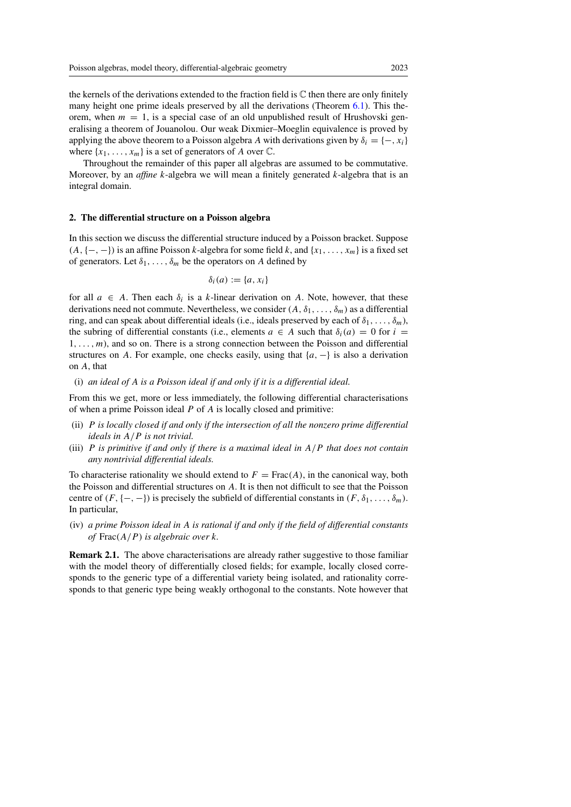the kernels of the derivations extended to the fraction field is  $\mathbb C$  then there are only finitely many height one prime ideals preserved by all the derivations (Theorem [6.1\)](#page-15-1). This theorem, when  $m = 1$ , is a special case of an old unpublished result of Hrushovski generalising a theorem of Jouanolou. Our weak Dixmier–Moeglin equivalence is proved by applying the above theorem to a Poisson algebra A with derivations given by  $\delta_i = \{-, x_i\}$ where  $\{x_1, \ldots, x_m\}$  is a set of generators of A over  $\mathbb{C}$ .

Throughout the remainder of this paper all algebras are assumed to be commutative. Moreover, by an *affine* k-algebra we will mean a finitely generated k-algebra that is an integral domain.

#### <span id="page-4-0"></span>2. The differential structure on a Poisson algebra

In this section we discuss the differential structure induced by a Poisson bracket. Suppose  $(A, \{-, -\})$  is an affine Poisson k-algebra for some field k, and  $\{x_1, \ldots, x_m\}$  is a fixed set of generators. Let  $\delta_1, \ldots, \delta_m$  be the operators on A defined by

$$
\delta_i(a) := \{a, x_i\}
$$

for all  $a \in A$ . Then each  $\delta_i$  is a k-linear derivation on A. Note, however, that these derivations need not commute. Nevertheless, we consider  $(A, \delta_1, \ldots, \delta_m)$  as a differential ring, and can speak about differential ideals (i.e., ideals preserved by each of  $\delta_1, \ldots, \delta_m$ ), the subring of differential constants (i.e., elements  $a \in A$  such that  $\delta_i(a) = 0$  for  $i =$  $1, \ldots, m$ , and so on. There is a strong connection between the Poisson and differential structures on A. For example, one checks easily, using that  $\{a, -\}$  is also a derivation on A, that

#### (i) *an ideal of* A *is a Poisson ideal if and only if it is a differential ideal.*

From this we get, more or less immediately, the following differential characterisations of when a prime Poisson ideal  $P$  of  $A$  is locally closed and primitive:

- (ii) P *is locally closed if and only if the intersection of all the nonzero prime differential ideals in* A/P *is not trivial.*
- (iii) P *is primitive if and only if there is a maximal ideal in* A/P *that does not contain any nontrivial differential ideals.*

To characterise rationality we should extend to  $F = Frac(A)$ , in the canonical way, both the Poisson and differential structures on A. It is then not difficult to see that the Poisson centre of  $(F, \{-, -\})$  is precisely the subfield of differential constants in  $(F, \delta_1, \ldots, \delta_m)$ . In particular,

(iv) *a prime Poisson ideal in* A *is rational if and only if the field of differential constants of* Frac(A/P ) *is algebraic over* k*.*

Remark 2.1. The above characterisations are already rather suggestive to those familiar with the model theory of differentially closed fields; for example, locally closed corresponds to the generic type of a differential variety being isolated, and rationality corresponds to that generic type being weakly orthogonal to the constants. Note however that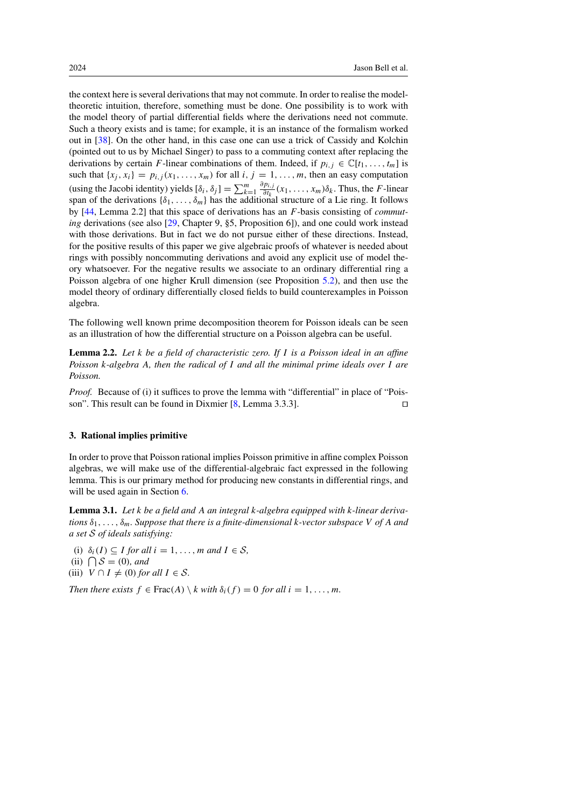the context here is several derivations that may not commute. In order to realise the modeltheoretic intuition, therefore, something must be done. One possibility is to work with the model theory of partial differential fields where the derivations need not commute. Such a theory exists and is tame; for example, it is an instance of the formalism worked out in [\[38\]](#page-30-7). On the other hand, in this case one can use a trick of Cassidy and Kolchin (pointed out to us by Michael Singer) to pass to a commuting context after replacing the derivations by certain F-linear combinations of them. Indeed, if  $p_i$ ,  $\in \mathbb{C}[t_1,\ldots,t_m]$  is such that  $\{x_j, x_i\} = p_{i,j}(x_1, \ldots, x_m)$  for all  $i, j = 1, \ldots, m$ , then an easy computation (using the Jacobi identity) yields  $[\delta_i, \delta_j] = \sum_{k=1}^m$  $\frac{\partial p_{i,j}}{\partial t_k}(x_1,\ldots,x_m)\delta_k$ . Thus, the *F*-linear span of the derivations  $\{\delta_1,\ldots,\delta_m\}$  has the additional structure of a Lie ring. It follows by [\[44,](#page-30-8) Lemma 2.2] that this space of derivations has an F-basis consisting of *commuting* derivations (see also [\[29,](#page-30-9) Chapter 9, §5, Proposition 6]), and one could work instead with those derivations. But in fact we do not pursue either of these directions. Instead, for the positive results of this paper we give algebraic proofs of whatever is needed about rings with possibly noncommuting derivations and avoid any explicit use of model theory whatsoever. For the negative results we associate to an ordinary differential ring a Poisson algebra of one higher Krull dimension (see Proposition [5.2\)](#page-14-1), and then use the model theory of ordinary differentially closed fields to build counterexamples in Poisson algebra.

The following well known prime decomposition theorem for Poisson ideals can be seen as an illustration of how the differential structure on a Poisson algebra can be useful.

<span id="page-5-2"></span>Lemma 2.2. *Let* k *be a field of characteristic zero. If* I *is a Poisson ideal in an affine Poisson* k*-algebra* A*, then the radical of* I *and all the minimal prime ideals over* I *are Poisson.*

*Proof.* Because of (i) it suffices to prove the lemma with "differential" in place of "Poisson". This result can be found in Dixmier  $[8, \text{Lemma } 3.3.3]$  $[8, \text{Lemma } 3.3.3]$ .

## <span id="page-5-0"></span>3. Rational implies primitive

In order to prove that Poisson rational implies Poisson primitive in affine complex Poisson algebras, we will make use of the differential-algebraic fact expressed in the following lemma. This is our primary method for producing new constants in differential rings, and will be used again in Section [6.](#page-15-0)

<span id="page-5-1"></span>Lemma 3.1. *Let* k *be a field and* A *an integral* k*-algebra equipped with* k*-linear deriva* $t$ *tions*  $\delta_1, \ldots, \delta_m$ *. Suppose that there is a finite-dimensional k-vector subspace* V of A and *a set S of ideals satisfying:*

(i)  $\delta_i(I) \subseteq I$  *for all*  $i = 1, ..., m$  *and*  $I \in S$ *,* (ii)  $\bigcap$  *S* = (0)*, and* (iii)  $V \cap I \neq (0)$  *for all*  $I \in S$ *.* 

*Then there exists*  $f \in Frac(A) \setminus k$  *with*  $\delta_i(f) = 0$  *for all*  $i = 1, \ldots, m$ *.*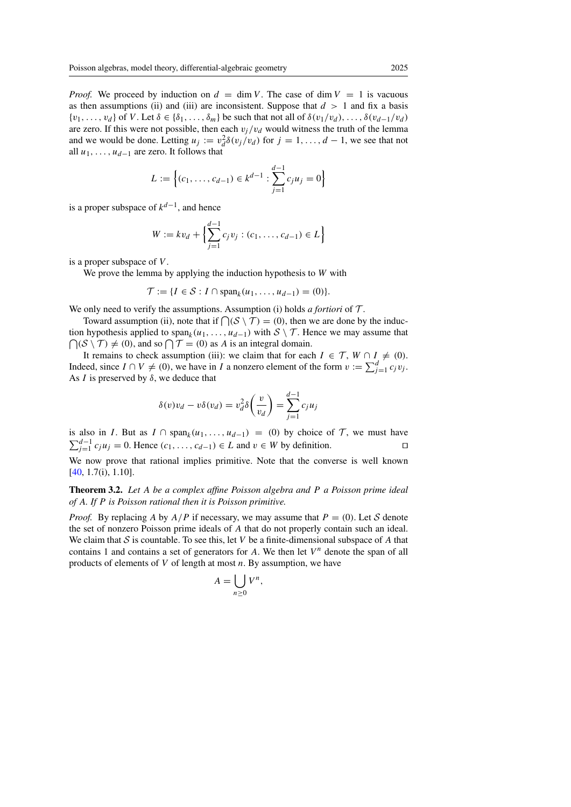*Proof.* We proceed by induction on  $d = \dim V$ . The case of  $\dim V = 1$  is vacuous as then assumptions (ii) and (iii) are inconsistent. Suppose that  $d > 1$  and fix a basis  $\{v_1,\ldots,v_d\}$  of V. Let  $\delta \in \{\delta_1,\ldots,\delta_m\}$  be such that not all of  $\delta(v_1/v_d),\ldots,\delta(v_{d-1}/v_d)$ are zero. If this were not possible, then each  $v_j/v_d$  would witness the truth of the lemma and we would be done. Letting  $u_j := v_d^2 \delta(v_j/v_d)$  for  $j = 1, ..., d - 1$ , we see that not all  $u_1, \ldots, u_{d-1}$  are zero. It follows that

$$
L := \left\{ (c_1, \ldots, c_{d-1}) \in k^{d-1} : \sum_{j=1}^{d-1} c_j u_j = 0 \right\}
$$

is a proper subspace of  $k^{d-1}$ , and hence

$$
W := kv_d + \left\{ \sum_{j=1}^{d-1} c_j v_j : (c_1, \dots, c_{d-1}) \in L \right\}
$$

is a proper subspace of V .

We prove the lemma by applying the induction hypothesis to W with

$$
\mathcal{T} := \{I \in \mathcal{S} : I \cap \text{span}_k(u_1, \ldots, u_{d-1}) = (0)\}.
$$

We only need to verify the assumptions. Assumption (i) holds *a fortiori* of *T* .

Toward assumption (ii), note that if  $\bigcap (\mathcal{S} \setminus \mathcal{T}) = (0)$ , then we are done by the induction hypothesis applied to span<sub>k</sub> $(u_1, \ldots, u_{d-1})$  with  $S \setminus T$ . Hence we may assume that  $\bigcap (S \setminus T) \neq (0)$ , and so  $\bigcap T = (0)$  as A is an integral domain.

It remains to check assumption (iii): we claim that for each  $I \in \mathcal{T}$ ,  $W \cap I \neq (0)$ . Indeed, since  $I \cap V \neq (0)$ , we have in I a nonzero element of the form  $v := \sum_{j=1}^{d} c_j v_j$ . As *I* is preserved by  $\delta$ , we deduce that

$$
\delta(v)v_d - v\delta(v_d) = v_d^2 \delta\left(\frac{v}{v_d}\right) = \sum_{j=1}^{d-1} c_j u_j
$$

is also in *I*. But as  $I \cap \text{span}_k(u_1,\ldots,u_{d-1}) = (0)$  by choice of  $\mathcal T$ , we must have  $\sum_{j=1}^{d-1} c_j u_j = 0$ . Hence  $(c_1, \ldots, c_{d-1}) \in L$  and  $v \in W$  by definition.

We now prove that rational implies primitive. Note that the converse is well known [\[40,](#page-30-6) 1.7(i), 1.10].

<span id="page-6-0"></span>Theorem 3.2. *Let* A *be a complex affine Poisson algebra and* P *a Poisson prime ideal of* A*. If* P *is Poisson rational then it is Poisson primitive.*

*Proof.* By replacing A by  $A/P$  if necessary, we may assume that  $P = (0)$ . Let *S* denote the set of nonzero Poisson prime ideals of A that do not properly contain such an ideal. We claim that  $S$  is countable. To see this, let V be a finite-dimensional subspace of A that contains 1 and contains a set of generators for A. We then let  $V<sup>n</sup>$  denote the span of all products of elements of  $V$  of length at most  $n$ . By assumption, we have

$$
A = \bigcup_{n \ge 0} V^n,
$$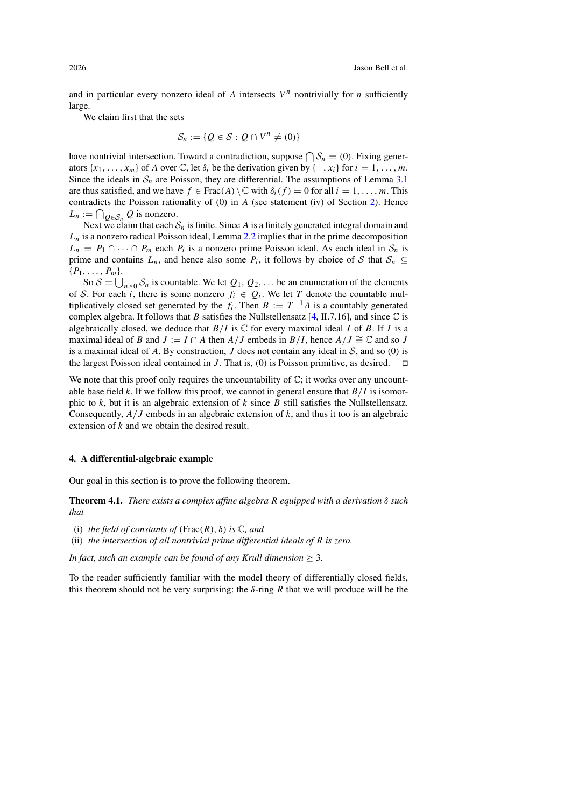and in particular every nonzero ideal of A intersects  $V<sup>n</sup>$  nontrivially for *n* sufficiently large.

We claim first that the sets

$$
\mathcal{S}_n := \{ Q \in \mathcal{S} : Q \cap V^n \neq (0) \}
$$

have nontrivial intersection. Toward a contradiction, suppose  $\bigcap S_n = (0)$ . Fixing generators  $\{x_1, \ldots, x_m\}$  of A over  $\mathbb{C}$ , let  $\delta_i$  be the derivation given by  $\{-, x_i\}$  for  $i = 1, \ldots, m$ . Since the ideals in  $S_n$  are Poisson, they are differential. The assumptions of Lemma [3.1](#page-5-1) are thus satisfied, and we have  $f \in Frac(A) \setminus \mathbb{C}$  with  $\delta_i(f) = 0$  for all  $i = 1, \ldots, m$ . This contradicts the Poisson rationality of (0) in A (see statement (iv) of Section [2\)](#page-4-0). Hence  $L_n := \bigcap_{Q \in \mathcal{S}_n} Q$  is nonzero.

Next we claim that each  $S_n$  is finite. Since A is a finitely generated integral domain and  $L_n$  is a nonzero radical Poisson ideal, Lemma [2.2](#page-5-2) implies that in the prime decomposition  $L_n = P_1 ∩ ⋯ ∩ P_m$  each  $P_i$  is a nonzero prime Poisson ideal. As each ideal in  $S_n$  is prime and contains  $L_n$ , and hence also some  $P_i$ , it follows by choice of *S* that  $S_n \subseteq$  $\{P_1,\ldots,P_m\}.$ 

So  $S = \bigcup_{n \geq 0} S_n$  is countable. We let  $Q_1, Q_2, \ldots$  be an enumeration of the elements of *S*. For each  $\overline{i}$ , there is some nonzero  $f_i \in Q_i$ . We let *T* denote the countable multiplicatively closed set generated by the  $f_i$ . Then  $B := T^{-1}A$  is a countably generated complex algebra. It follows that B satisfies the Nullstellensatz [\[4,](#page-29-7) II.7.16], and since  $\mathbb C$  is algebraically closed, we deduce that  $B/I$  is  $\mathbb C$  for every maximal ideal I of B. If I is a maximal ideal of B and  $J := I \cap A$  then  $A/J$  embeds in  $B/I$ , hence  $A/J \cong \mathbb{C}$  and so J is a maximal ideal of A. By construction, J does not contain any ideal in  $S$ , and so (0) is the largest Poisson ideal contained in J. That is, (0) is Poisson primitive, as desired.  $\Box$ the largest Poisson ideal contained in  $J$ . That is,  $(0)$  is Poisson primitive, as desired.

We note that this proof only requires the uncountability of  $\mathbb{C}$ ; it works over any uncountable base field k. If we follow this proof, we cannot in general ensure that  $B/I$  is isomorphic to  $k$ , but it is an algebraic extension of  $k$  since  $B$  still satisfies the Nullstellensatz. Consequently,  $A/J$  embeds in an algebraic extension of k, and thus it too is an algebraic extension of k and we obtain the desired result.

#### <span id="page-7-0"></span>4. A differential-algebraic example

<span id="page-7-1"></span>Our goal in this section is to prove the following theorem.

Theorem 4.1. *There exists a complex affine algebra* R *equipped with a derivation* δ *such that*

- (i) *the field of constants of* ( $Frac(R)$ ,  $\delta$ ) *is*  $\mathbb{C}$ *, and*
- (ii) *the intersection of all nontrivial prime differential ideals of* R *is zero.*

*In fact, such an example can be found of any Krull dimension*  $\geq$  3.

To the reader sufficiently familiar with the model theory of differentially closed fields, this theorem should not be very surprising: the  $\delta$ -ring R that we will produce will be the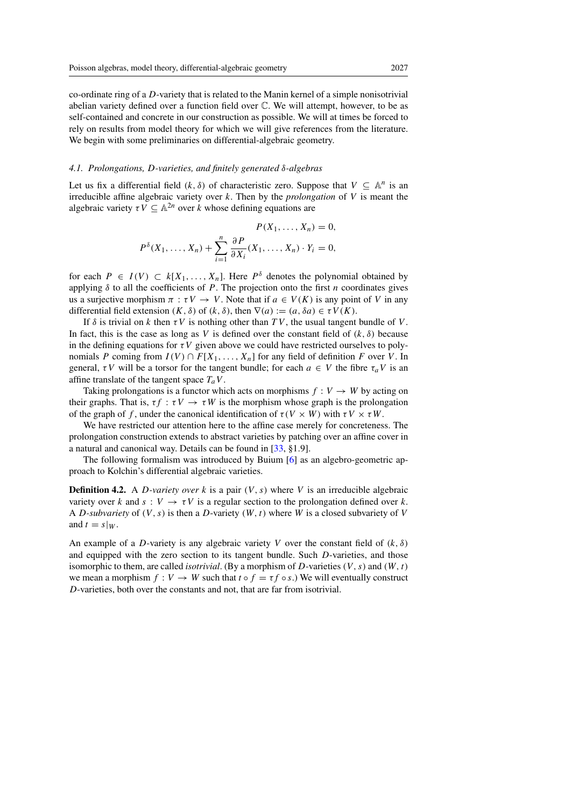co-ordinate ring of a D-variety that is related to the Manin kernel of a simple nonisotrivial abelian variety defined over a function field over C. We will attempt, however, to be as self-contained and concrete in our construction as possible. We will at times be forced to rely on results from model theory for which we will give references from the literature. We begin with some preliminaries on differential-algebraic geometry.

#### <span id="page-8-0"></span>*4.1. Prolongations,* D*-varieties, and finitely generated* δ*-algebras*

Let us fix a differential field  $(k, \delta)$  of characteristic zero. Suppose that  $V \subseteq \mathbb{A}^n$  is an irreducible affine algebraic variety over k. Then by the *prolongation* of V is meant the algebraic variety  $\tau V \subseteq \mathbb{A}^{2n}$  over k whose defining equations are

$$
P(X_1, \ldots, X_n) = 0,
$$
  

$$
P^{\delta}(X_1, \ldots, X_n) + \sum_{i=1}^n \frac{\partial P}{\partial X_i}(X_1, \ldots, X_n) \cdot Y_i = 0,
$$

for each  $P \in I(V) \subset k[X_1,\ldots,X_n]$ . Here  $P^{\delta}$  denotes the polynomial obtained by applying  $\delta$  to all the coefficients of P. The projection onto the first n coordinates gives us a surjective morphism  $\pi : \tau V \to V$ . Note that if  $a \in V(K)$  is any point of V in any differential field extension  $(K, \delta)$  of  $(k, \delta)$ , then  $\nabla(a) := (a, \delta a) \in \tau V(K)$ .

If  $\delta$  is trivial on k then  $\tau V$  is nothing other than TV, the usual tangent bundle of V. In fact, this is the case as long as V is defined over the constant field of  $(k, \delta)$  because in the defining equations for  $\tau V$  given above we could have restricted ourselves to polynomials P coming from  $I(V) \cap F[X_1, \ldots, X_n]$  for any field of definition F over V. In general,  $\tau V$  will be a torsor for the tangent bundle; for each  $a \in V$  the fibre  $\tau_a V$  is an affine translate of the tangent space  $T_aV$ .

Taking prolongations is a functor which acts on morphisms  $f: V \to W$  by acting on their graphs. That is,  $\tau f : \tau V \to \tau W$  is the morphism whose graph is the prolongation of the graph of f, under the canonical identification of  $\tau(V \times W)$  with  $\tau V \times \tau W$ .

We have restricted our attention here to the affine case merely for concreteness. The prolongation construction extends to abstract varieties by patching over an affine cover in a natural and canonical way. Details can be found in [\[33,](#page-30-10) §1.9].

The following formalism was introduced by Buium [\[6\]](#page-29-14) as an algebro-geometric approach to Kolchin's differential algebraic varieties.

**Definition 4.2.** A *D-variety over* k is a pair  $(V, s)$  where V is an irreducible algebraic variety over k and  $s : V \to \tau V$  is a regular section to the prolongation defined over k. A *D*-subvariety of  $(V, s)$  is then a *D*-variety  $(W, t)$  where W is a closed subvariety of V and  $t = s|w$ .

An example of a D-variety is any algebraic variety V over the constant field of  $(k, \delta)$ and equipped with the zero section to its tangent bundle. Such D-varieties, and those isomorphic to them, are called *isotrivial*. (By a morphism of D-varieties  $(V, s)$  and  $(W, t)$ we mean a morphism  $f: V \to W$  such that  $t \circ f = \tau f \circ s$ .) We will eventually construct D-varieties, both over the constants and not, that are far from isotrivial.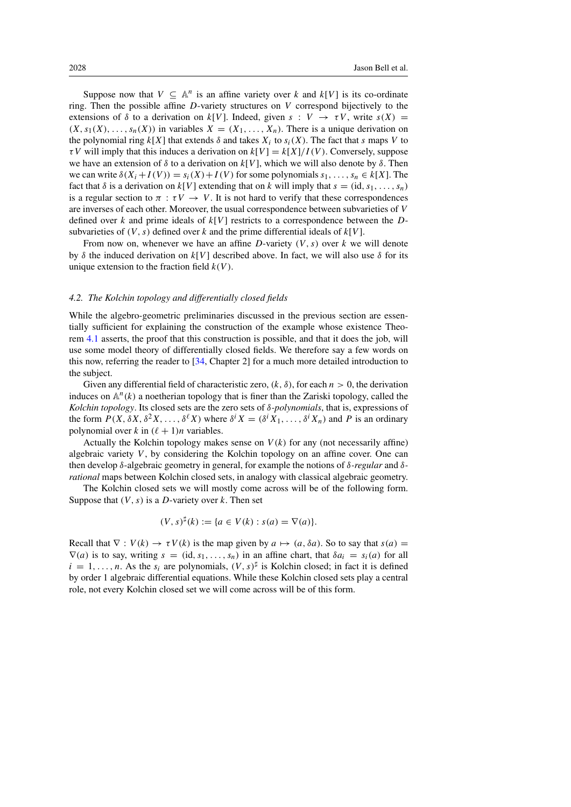Suppose now that  $V \subseteq \mathbb{A}^n$  is an affine variety over k and  $k[V]$  is its co-ordinate ring. Then the possible affine  $D$ -variety structures on  $V$  correspond bijectively to the extensions of  $\delta$  to a derivation on k[V]. Indeed, given  $s: V \to \tau V$ , write  $s(X) =$  $(X, s_1(X), \ldots, s_n(X))$  in variables  $X = (X_1, \ldots, X_n)$ . There is a unique derivation on the polynomial ring  $k[X]$  that extends  $\delta$  and takes  $X_i$  to  $s_i(X)$ . The fact that s maps V to  $\tau V$  will imply that this induces a derivation on  $k[V] = k[X]/I(V)$ . Conversely, suppose we have an extension of  $\delta$  to a derivation on  $k[V]$ , which we will also denote by  $\delta$ . Then we can write  $\delta(X_i + I(V)) = s_i(X) + I(V)$  for some polynomials  $s_1, \ldots, s_n \in k[X]$ . The fact that  $\delta$  is a derivation on  $k[V]$  extending that on k will imply that  $s = (id, s_1, \ldots, s_n)$ is a regular section to  $\pi : \tau V \to V$ . It is not hard to verify that these correspondences are inverses of each other. Moreover, the usual correspondence between subvarieties of V defined over k and prime ideals of  $k[V]$  restricts to a correspondence between the Dsubvarieties of  $(V, s)$  defined over k and the prime differential ideals of  $k[V]$ .

From now on, whenever we have an affine D-variety  $(V, s)$  over k we will denote by  $\delta$  the induced derivation on k[V] described above. In fact, we will also use  $\delta$  for its unique extension to the fraction field  $k(V)$ .

## <span id="page-9-0"></span>*4.2. The Kolchin topology and differentially closed fields*

While the algebro-geometric preliminaries discussed in the previous section are essentially sufficient for explaining the construction of the example whose existence Theorem [4.1](#page-7-1) asserts, the proof that this construction is possible, and that it does the job, will use some model theory of differentially closed fields. We therefore say a few words on this now, referring the reader to [\[34,](#page-30-11) Chapter 2] for a much more detailed introduction to the subject.

Given any differential field of characteristic zero,  $(k, \delta)$ , for each  $n > 0$ , the derivation induces on  $\mathbb{A}^n(k)$  a noetherian topology that is finer than the Zariski topology, called the *Kolchin topology*. Its closed sets are the zero sets of δ*-polynomials*, that is, expressions of the form  $P(X, \delta X, \delta^2 X, \ldots, \delta^{\ell} X)$  where  $\delta^{i} X = (\delta^{i} X_1, \ldots, \delta^{i} X_n)$  and P is an ordinary polynomial over k in  $(\ell + 1)n$  variables.

Actually the Kolchin topology makes sense on  $V(k)$  for any (not necessarily affine) algebraic variety  $V$ , by considering the Kolchin topology on an affine cover. One can then develop δ-algebraic geometry in general, for example the notions of δ*-regular* and δ*rational* maps between Kolchin closed sets, in analogy with classical algebraic geometry.

The Kolchin closed sets we will mostly come across will be of the following form. Suppose that  $(V, s)$  is a D-variety over k. Then set

$$
(V, s)^{\sharp}(k) := \{ a \in V(k) : s(a) = \nabla(a) \}.
$$

Recall that  $\nabla : V(k) \to \tau V(k)$  is the map given by  $a \mapsto (a, \delta a)$ . So to say that  $s(a) =$  $\nabla(a)$  is to say, writing  $s = (id, s_1, \ldots, s_n)$  in an affine chart, that  $\delta a_i = s_i(a)$  for all  $i = 1, \ldots, n$ . As the  $s_i$  are polynomials,  $(V, s)^{\sharp}$  is Kolchin closed; in fact it is defined by order 1 algebraic differential equations. While these Kolchin closed sets play a central role, not every Kolchin closed set we will come across will be of this form.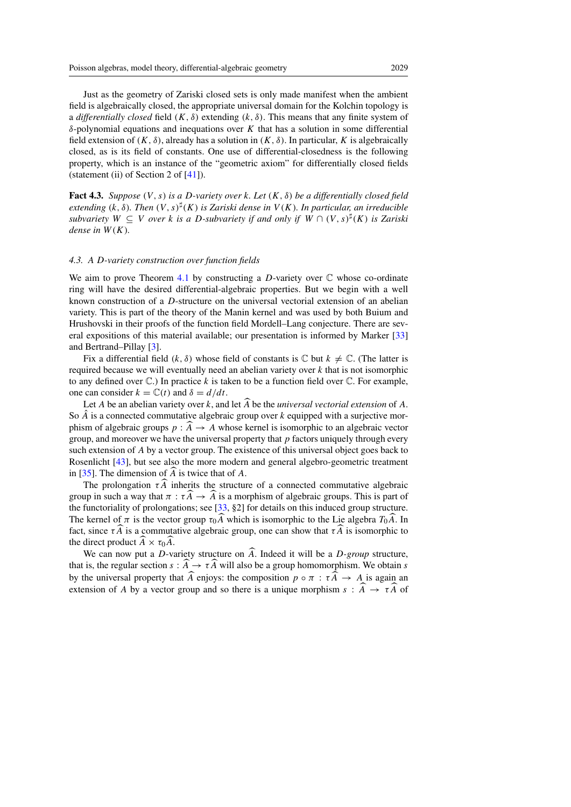Just as the geometry of Zariski closed sets is only made manifest when the ambient field is algebraically closed, the appropriate universal domain for the Kolchin topology is a *differentially closed* field  $(K, \delta)$  extending  $(k, \delta)$ . This means that any finite system of δ-polynomial equations and inequations over K that has a solution in some differential field extension of  $(K, \delta)$ , already has a solution in  $(K, \delta)$ . In particular, K is algebraically closed, as is its field of constants. One use of differential-closedness is the following property, which is an instance of the "geometric axiom" for differentially closed fields (statement (ii) of Section 2 of [\[41\]](#page-30-12)).

<span id="page-10-1"></span>Fact 4.3. *Suppose* (V , s) *is a* D*-variety over* k*. Let* (K, δ) *be a differentially closed field extending*  $(k, \delta)$ *. Then*  $(V, s)^{\sharp}(K)$  *is Zariski dense in*  $V(K)$ *. In particular, an irreducible subvariety*  $W \subseteq V$  *over* k *is a D-subvariety if and only if*  $W \cap (V, s)^{\sharp}(K)$  *is Zariski dense in*  $W(K)$ .

#### <span id="page-10-0"></span>*4.3. A* D*-variety construction over function fields*

We aim to prove Theorem [4.1](#page-7-1) by constructing a D-variety over  $\mathbb C$  whose co-ordinate ring will have the desired differential-algebraic properties. But we begin with a well known construction of a D-structure on the universal vectorial extension of an abelian variety. This is part of the theory of the Manin kernel and was used by both Buium and Hrushovski in their proofs of the function field Mordell–Lang conjecture. There are several expositions of this material available; our presentation is informed by Marker [\[33\]](#page-30-10) and Bertrand–Pillay [\[3\]](#page-28-3).

Fix a differential field  $(k, \delta)$  whose field of constants is  $\mathbb C$  but  $k \neq \mathbb C$ . (The latter is required because we will eventually need an abelian variety over  $k$  that is not isomorphic to any defined over  $\mathbb{C}$ .) In practice k is taken to be a function field over  $\mathbb{C}$ . For example, one can consider  $k = \mathbb{C}(t)$  and  $\delta = d/dt$ .

Let  $A$  be an abelian variety over  $k$ , and let  $A$  be the *universal vectorial extension* of  $A$ . So  $\hat{A}$  is a connected commutative algebraic group over k equipped with a surjective morphism of algebraic groups  $p : A \to A$  whose kernel is isomorphic to an algebraic vector group, and moreover we have the universal property that  $p$  factors uniquely through every such extension of A by a vector group. The existence of this universal object goes back to Rosenlicht [\[43\]](#page-30-13), but see also the more modern and general algebro-geometric treatment in [\[35\]](#page-30-14). The dimension of  $A$  is twice that of  $A$ .

The prolongation  $\tau A$  inherits the structure of a connected commutative algebraic group in such a way that  $\pi : \tau A \to A$  is a morphism of algebraic groups. This is part of the functoriality of prolongations; see [\[33,](#page-30-10) §2] for details on this induced group structure. The kernel of  $\pi$  is the vector group  $\tau_0 A$  which is isomorphic to the Lie algebra  $T_0 A$ . In fact, since  $\tau A$  is a commutative algebraic group, one can show that  $\tau A$  is isomorphic to the direct product  $A \times \tau_0 A$ .

We can now put a *D*-variety structure on *A*. Indeed it will be a *D-group* structure, that is, the regular section  $s : A \to \tau A$  will also be a group homomorphism. We obtain s by the universal property that A enjoys: the composition  $p \circ \pi : \tau A \to A$  is again an extension of A by a vector group and so there is a unique morphism  $s : A \rightarrow \tau A$  of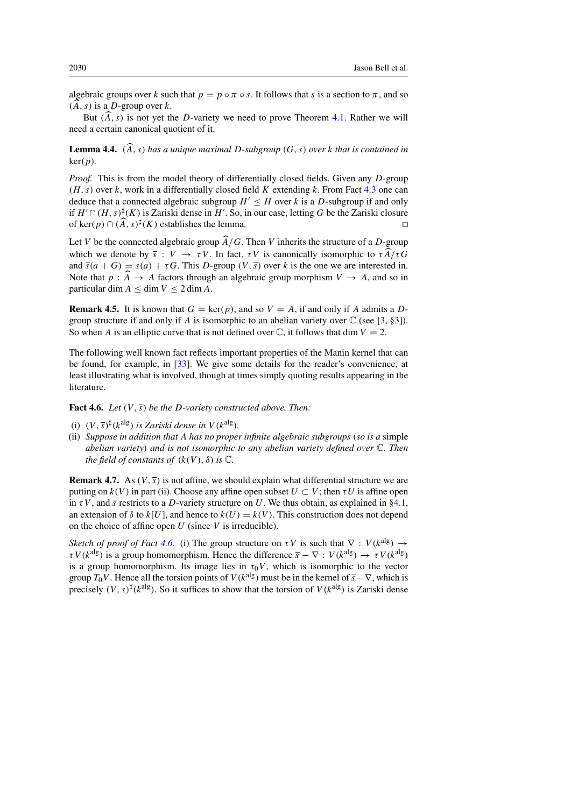algebraic groups over k such that  $p = p \circ \pi \circ s$ . It follows that s is a section to  $\pi$ , and so  $(A, s)$  is a D-group over k.

But  $(A, s)$  is not yet the D-variety we need to prove Theorem [4.1.](#page-7-1) Rather we will need a certain canonical quotient of it.

**Lemma 4.4.**  $(\widehat{A}, s)$  has a unique maximal D-subgroup  $(G, s)$  over k that is contained in ker(p)*.*

*Proof.* This is from the model theory of differentially closed fields. Given any D-group  $(H, s)$  over k, work in a differentially closed field K extending k. From Fact [4.3](#page-10-1) one can deduce that a connected algebraic subgroup  $H' \leq H$  over k is a D-subgroup if and only if  $H' \cap (H, s)^\sharp(K)$  is Zariski dense in  $H'$ . So, in our case, letting G be the Zariski closure of ker(p) ∩  $(\widehat{A}, s)^{\sharp}(K)$  establishes the lemma.

Let V be the connected algebraic group  $\widehat{A}/G$ . Then V inherits the structure of a D-group which we denote by  $\bar{s}: V \to \tau V$ . In fact,  $\tau V$  is canonically isomorphic to  $\tau \widehat{A}/\tau G$ and  $\overline{s}(a + G) = s(a) + \tau G$ . This D-group  $(V, \overline{s})$  over k is the one we are interested in. Note that  $p : A \to A$  factors through an algebraic group morphism  $V \to A$ , and so in particular dim  $A \leq \dim V \leq 2 \dim A$ .

<span id="page-11-1"></span>**Remark 4.5.** It is known that  $G = \text{ker}(p)$ , and so  $V = A$ , if and only if A admits a Dgroup structure if and only if A is isomorphic to an abelian variety over  $\mathbb C$  (see [\[3,](#page-28-3) §3]). So when A is an elliptic curve that is not defined over  $\mathbb C$ , it follows that dim  $V = 2$ .

The following well known fact reflects important properties of the Manin kernel that can be found, for example, in [\[33\]](#page-30-10). We give some details for the reader's convenience, at least illustrating what is involved, though at times simply quoting results appearing in the literature.

<span id="page-11-0"></span>Fact 4.6. *Let*  $(V, \bar{s})$  *be the D-variety constructed above. Then:* 

- (i)  $(V, \bar{s})^{\sharp}$  (k<sup>alg</sup>) *is Zariski dense in*  $V$  (k<sup>alg</sup>).
- (ii) *Suppose in addition that* A *has no proper infinite algebraic subgroups* (*so is a* simple *abelian variety*) *and is not isomorphic to any abelian variety defined over* C*. Then the field of constants of*  $(k(V), \delta)$  *is*  $\mathbb{C}$ *.*

**Remark 4.7.** As  $(V, \bar{s})$  is not affine, we should explain what differential structure we are putting on  $k(V)$  in part (ii). Choose any affine open subset  $U \subset V$ ; then  $\tau U$  is affine open in  $\tau V$ , and  $\bar{s}$  restricts to a D-variety structure on U. We thus obtain, as explained in [§4.1,](#page-8-0) an extension of  $\delta$  to  $k[U]$ , and hence to  $k(U) = k(V)$ . This construction does not depend on the choice of affine open  $U$  (since  $V$  is irreducible).

*Sketch of proof of Fact* [4.6.](#page-11-0) (i) The group structure on  $\tau V$  is such that  $\nabla : V(k^{\text{alg}}) \rightarrow$  $\tau V(k^{\text{alg}})$  is a group homomorphism. Hence the difference  $\bar{s} - \nabla : V(k^{\text{alg}}) \to \tau V(k^{\text{alg}})$ is a group homomorphism. Its image lies in  $\tau_0 V$ , which is isomorphic to the vector group  $T_0V$ . Hence all the torsion points of  $V(k^{\text{alg}})$  must be in the kernel of  $\overline{s}-\nabla$ , which is precisely  $(V, s)^{\sharp}$  (k<sup>alg</sup>). So it suffices to show that the torsion of  $V(k^{\text{alg}})$  is Zariski dense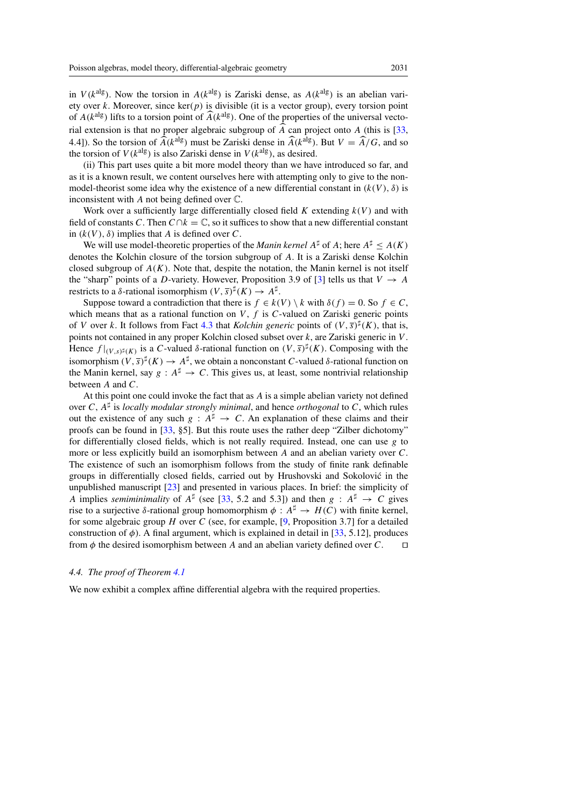in  $V(k^{\text{alg}})$ . Now the torsion in  $A(k^{\text{alg}})$  is Zariski dense, as  $A(k^{\text{alg}})$  is an abelian variety over k. Moreover, since  $\ker(p)$  is divisible (it is a vector group), every torsion point of  $A(k^{\text{alg}})$  lifts to a torsion point of  $\widehat{A}(k^{\text{alg}})$ . One of the properties of the universal vectorial extension is that no proper algebraic subgroup of A can project onto  $A$  (this is [\[33,](#page-30-10) 4.4]). So the torsion of  $\widehat{A}(k^{\text{alg}})$  must be Zariski dense in  $\widehat{A}(k^{\text{alg}})$ . But  $V = \widehat{A}/G$ , and so the torsion of  $V(k^{alg})$  is also Zariski dense in  $V(k^{alg})$ , as desired.

(ii) This part uses quite a bit more model theory than we have introduced so far, and as it is a known result, we content ourselves here with attempting only to give to the nonmodel-theorist some idea why the existence of a new differential constant in  $(k(V), \delta)$  is inconsistent with A not being defined over C.

Work over a sufficiently large differentially closed field K extending  $k(V)$  and with field of constants C. Then  $C \cap k = \mathbb{C}$ , so it suffices to show that a new differential constant in  $(k(V), \delta)$  implies that A is defined over C.

We will use model-theoretic properties of the *Manin kernel*  $A^{\sharp}$  of A; here  $A^{\sharp} \leq A(K)$ denotes the Kolchin closure of the torsion subgroup of A. It is a Zariski dense Kolchin closed subgroup of  $A(K)$ . Note that, despite the notation, the Manin kernel is not itself the "sharp" points of a D-variety. However, Proposition 3.9 of [\[3\]](#page-28-3) tells us that  $V \rightarrow A$ restricts to a  $\delta$ -rational isomorphism  $(V, \overline{s})^{\sharp}(K) \rightarrow A^{\sharp}$ .

Suppose toward a contradiction that there is  $f \in k(V) \setminus k$  with  $\delta(f) = 0$ . So  $f \in C$ , which means that as a rational function on  $V$ ,  $f$  is  $C$ -valued on Zariski generic points of V over k. It follows from Fact [4.3](#page-10-1) that *Kolchin generic* points of  $(V, \overline{s})^{\sharp}(K)$ , that is, points not contained in any proper Kolchin closed subset over k, are Zariski generic in V . Hence  $f|_{(V,s)^{\sharp}(K)}$  is a C-valued  $\delta$ -rational function on  $(V,\overline{s})^{\sharp}(K)$ . Composing with the isomorphism  $(V, \bar{s})^{\sharp}(K) \to A^{\sharp}$ , we obtain a nonconstant C-valued  $\delta$ -rational function on the Manin kernel, say  $g : A^{\sharp} \to C$ . This gives us, at least, some nontrivial relationship between A and C.

At this point one could invoke the fact that as A is a simple abelian variety not defined over C,  $A^{\sharp}$  is *locally modular strongly minimal*, and hence *orthogonal* to C, which rules out the existence of any such  $g : A^{\sharp} \to C$ . An explanation of these claims and their proofs can be found in [\[33,](#page-30-10) §5]. But this route uses the rather deep "Zilber dichotomy" for differentially closed fields, which is not really required. Instead, one can use  $g$  to more or less explicitly build an isomorphism between A and an abelian variety over C. The existence of such an isomorphism follows from the study of finite rank definable groups in differentially closed fields, carried out by Hrushovski and Sokolovic in the ´ unpublished manuscript [\[23\]](#page-29-15) and presented in various places. In brief: the simplicity of A implies *semiminimality* of  $A^{\sharp}$  (see [\[33,](#page-30-10) 5.2 and 5.3]) and then  $g : A^{\sharp} \to C$  gives rise to a surjective δ-rational group homomorphism  $\phi : A^{\sharp} \to H(C)$  with finite kernel, for some algebraic group H over C (see, for example,  $[9,$  Proposition 3.7] for a detailed construction of  $\phi$ ). A final argument, which is explained in detail in [\[33,](#page-30-10) 5.12], produces from  $\phi$  the desired isomorphism between A and an abelian variety defined over C.  $\Box$ 

## <span id="page-12-0"></span>*4.4. The proof of Theorem [4.1](#page-7-1)*

We now exhibit a complex affine differential algebra with the required properties.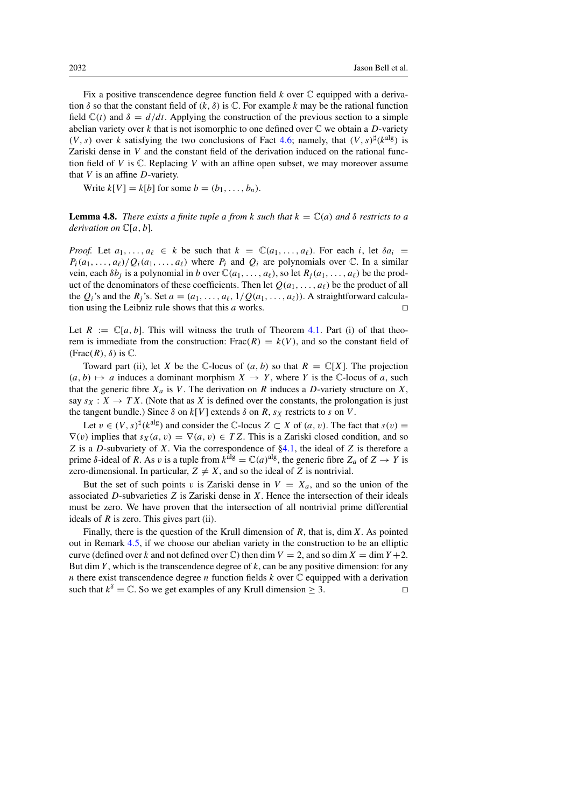Fix a positive transcendence degree function field  $k$  over  $\mathbb C$  equipped with a derivation  $\delta$  so that the constant field of  $(k, \delta)$  is  $\mathbb{C}$ . For example k may be the rational function field  $\mathbb{C}(t)$  and  $\delta = d/dt$ . Applying the construction of the previous section to a simple abelian variety over k that is not isomorphic to one defined over  $\mathbb C$  we obtain a D-variety  $(V, s)$  over k satisfying the two conclusions of Fact [4.6;](#page-11-0) namely, that  $(V, s)^{\sharp}$ (k<sup>alg</sup>) is Zariski dense in V and the constant field of the derivation induced on the rational function field of V is  $\mathbb C$ . Replacing V with an affine open subset, we may moreover assume that  $V$  is an affine  $D$ -variety.

Write  $k[V] = k[b]$  for some  $b = (b_1, \ldots, b_n)$ .

**Lemma 4.8.** *There exists a finite tuple a from k such that*  $k = \mathbb{C}(a)$  *and*  $\delta$  *restricts to a derivation on* C[a, b]*.*

*Proof.* Let  $a_1, \ldots, a_\ell \in k$  be such that  $k = \mathbb{C}(a_1, \ldots, a_\ell)$ . For each i, let  $\delta a_i =$  $P_i(a_1,\ldots,a_\ell)/Q_i(a_1,\ldots,a_\ell)$  where  $P_i$  and  $Q_i$  are polynomials over  $\mathbb C$ . In a similar vein, each  $\delta b_i$  is a polynomial in b over  $\mathbb{C}(a_1,\ldots,a_\ell)$ , so let  $R_i(a_1,\ldots,a_\ell)$  be the product of the denominators of these coefficients. Then let  $Q(a_1, \ldots, a_\ell)$  be the product of all the  $Q_i$ 's and the  $R_i$ 's. Set  $a = (a_1, \ldots, a_\ell, 1/Q(a_1, \ldots, a_\ell))$ . A straightforward calculation using the Leibniz rule shows that this  $a$  works.  $\Box$ 

Let  $R := \mathbb{C}[a, b]$ . This will witness the truth of Theorem [4.1.](#page-7-1) Part (i) of that theorem is immediate from the construction: Frac $(R) = k(V)$ , and so the constant field of (Frac $(R)$ ,  $\delta$ ) is  $\mathbb{C}$ .

Toward part (ii), let X be the  $\mathbb C$ -locus of  $(a, b)$  so that  $R = \mathbb C[X]$ . The projection  $(a, b) \mapsto a$  induces a dominant morphism  $X \to Y$ , where Y is the C-locus of a, such that the generic fibre  $X_a$  is V. The derivation on R induces a D-variety structure on X, say  $s_X : X \to TX$ . (Note that as X is defined over the constants, the prolongation is just the tangent bundle.) Since  $\delta$  on  $k[V]$  extends  $\delta$  on  $R$ ,  $s_X$  restricts to  $s$  on  $V$ .

Let  $v \in (V, s)^{\sharp}(k^{\text{alg}})$  and consider the C-locus  $Z \subset X$  of  $(a, v)$ . The fact that  $s(v) =$  $\nabla(v)$  implies that  $s_X(a, v) = \nabla(a, v) \in TZ$ . This is a Zariski closed condition, and so Z is a D-subvariety of X. Via the correspondence of  $\S 4.1$ , the ideal of Z is therefore a prime δ-ideal of R. As v is a tuple from  $k^{\text{alg}} = \mathbb{C}(a)^{\text{alg}}$ , the generic fibre  $Z_a$  of  $Z \to Y$  is zero-dimensional. In particular,  $Z \neq X$ , and so the ideal of Z is nontrivial.

But the set of such points v is Zariski dense in  $V = X_a$ , and so the union of the associated  $D$ -subvarieties  $Z$  is Zariski dense in  $X$ . Hence the intersection of their ideals must be zero. We have proven that the intersection of all nontrivial prime differential ideals of  $R$  is zero. This gives part (ii).

Finally, there is the question of the Krull dimension of  $R$ , that is, dim  $X$ . As pointed out in Remark [4.5,](#page-11-1) if we choose our abelian variety in the construction to be an elliptic curve (defined over k and not defined over  $\mathbb C$ ) then dim  $V = 2$ , and so dim  $X = \dim Y + 2$ . But dim Y, which is the transcendence degree of  $k$ , can be any positive dimension: for any n there exist transcendence degree n function fields  $k$  over  $\mathbb C$  equipped with a derivation such that  $k^{\delta} = \mathbb{C}$ . So we get examples of any Krull dimension  $\geq 3$ .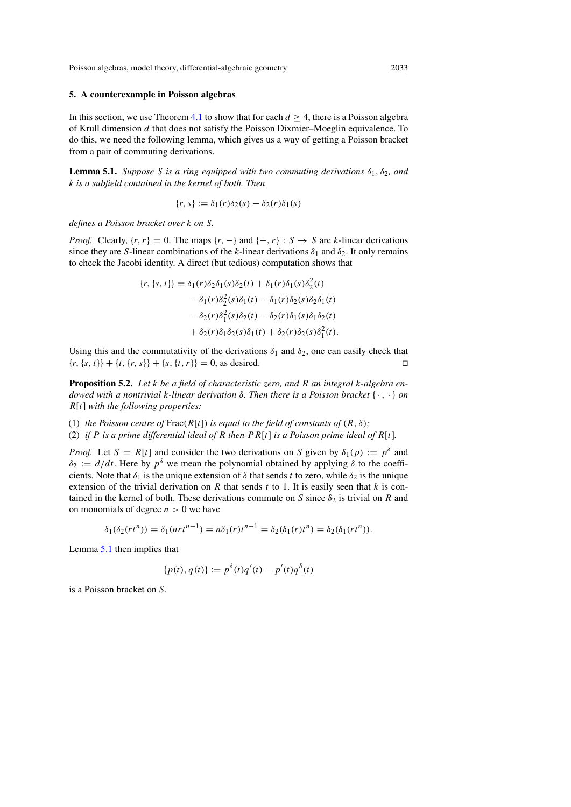#### <span id="page-14-0"></span>5. A counterexample in Poisson algebras

In this section, we use Theorem [4.1](#page-7-1) to show that for each  $d \geq 4$ , there is a Poisson algebra of Krull dimension d that does not satisfy the Poisson Dixmier–Moeglin equivalence. To do this, we need the following lemma, which gives us a way of getting a Poisson bracket from a pair of commuting derivations.

<span id="page-14-2"></span>**Lemma 5.1.** *Suppose S is a ring equipped with two commuting derivations*  $\delta_1$ ,  $\delta_2$ *, and* k *is a subfield contained in the kernel of both. Then*

$$
\{r,s\}:=\delta_1(r)\delta_2(s)-\delta_2(r)\delta_1(s)
$$

*defines a Poisson bracket over* k *on* S*.*

*Proof.* Clearly,  $\{r, r\} = 0$ . The maps  $\{r, -\}$  and  $\{-, r\} : S \to S$  are k-linear derivations since they are S-linear combinations of the k-linear derivations  $\delta_1$  and  $\delta_2$ . It only remains to check the Jacobi identity. A direct (but tedious) computation shows that

$$
\{r, \{s, t\}\} = \delta_1(r)\delta_2\delta_1(s)\delta_2(t) + \delta_1(r)\delta_1(s)\delta_2^2(t)
$$
  

$$
- \delta_1(r)\delta_2^2(s)\delta_1(t) - \delta_1(r)\delta_2(s)\delta_2\delta_1(t)
$$
  

$$
- \delta_2(r)\delta_1^2(s)\delta_2(t) - \delta_2(r)\delta_1(s)\delta_1\delta_2(t)
$$
  

$$
+ \delta_2(r)\delta_1\delta_2(s)\delta_1(t) + \delta_2(r)\delta_2(s)\delta_1^2(t).
$$

Using this and the commutativity of the derivations  $\delta_1$  and  $\delta_2$ , one can easily check that  ${r, {s, t}} + {t, {r, s}} + {s, {t, r}} = 0$ , as desired.

<span id="page-14-1"></span>Proposition 5.2. *Let* k *be a field of characteristic zero, and* R *an integral* k*-algebra endowed with a nontrivial* k*-linear derivation* δ*. Then there is a Poisson bracket* { · , · } *on* R[t] *with the following properties:*

(1) *the Poisson centre of*  $\text{Frac}(R[t])$  *is equal to the field of constants of*  $(R, \delta)$ *;* (2) *if* P *is a prime differential ideal of* R *then*  $PR[t]$  *is a Poisson prime ideal of*  $R[t]$ *.* 

*Proof.* Let  $S = R[t]$  and consider the two derivations on S given by  $\delta_1(p) := p^{\delta}$  and  $\delta_2 := d/dt$ . Here by  $p^{\delta}$  we mean the polynomial obtained by applying  $\delta$  to the coefficients. Note that  $\delta_1$  is the unique extension of  $\delta$  that sends t to zero, while  $\delta_2$  is the unique extension of the trivial derivation on  $R$  that sends  $t$  to 1. It is easily seen that  $k$  is contained in the kernel of both. These derivations commute on S since  $\delta_2$  is trivial on R and on monomials of degree  $n > 0$  we have

$$
\delta_1(\delta_2(rt^n)) = \delta_1(nrt^{n-1}) = n\delta_1(r)t^{n-1} = \delta_2(\delta_1(r)t^n) = \delta_2(\delta_1(rt^n)).
$$

Lemma [5.1](#page-14-2) then implies that

$$
\{p(t), q(t)\} := p^{\delta}(t)q'(t) - p'(t)q^{\delta}(t)
$$

is a Poisson bracket on S.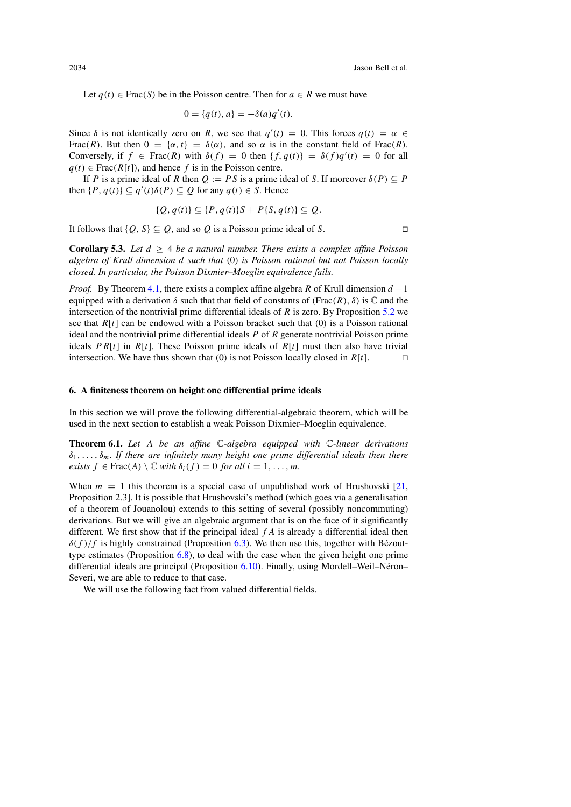Let  $q(t) \in Frac(S)$  be in the Poisson centre. Then for  $a \in R$  we must have

$$
0 = \{q(t), a\} = -\delta(a)q'(t).
$$

Since  $\delta$  is not identically zero on R, we see that  $q'(t) = 0$ . This forces  $q(t) = \alpha \in$ Frac(R). But then  $0 = {\alpha, t} = \delta(\alpha)$ , and so  $\alpha$  is in the constant field of Frac(R). Conversely, if  $f \in Frac(R)$  with  $\delta(f) = 0$  then  $\{f, q(t)\} = \delta(f)q'(t) = 0$  for all  $q(t) \in Frac(R[t])$ , and hence f is in the Poisson centre.

If P is a prime ideal of R then  $Q := PS$  is a prime ideal of S. If moreover  $\delta(P) \subseteq P$ then  $\{P, q(t)\} \subseteq q'(t)\delta(P) \subseteq Q$  for any  $q(t) \in S$ . Hence

$$
\{Q, q(t)\} \subseteq \{P, q(t)\}S + P\{S, q(t)\} \subseteq Q.
$$

It follows that  $\{Q, S\} \subseteq Q$ , and so Q is a Poisson prime ideal of S.

<span id="page-15-2"></span>**Corollary 5.3.** Let  $d \geq 4$  be a natural number. There exists a complex affine Poisson *algebra of Krull dimension* d *such that* (0) *is Poisson rational but not Poisson locally closed. In particular, the Poisson Dixmier–Moeglin equivalence fails.*

*Proof.* By Theorem [4.1,](#page-7-1) there exists a complex affine algebra R of Krull dimension  $d-1$ equipped with a derivation  $\delta$  such that that field of constants of (Frac(R),  $\delta$ ) is  $\mathbb C$  and the intersection of the nontrivial prime differential ideals of  $R$  is zero. By Proposition [5.2](#page-14-1) we see that  $R[t]$  can be endowed with a Poisson bracket such that  $(0)$  is a Poisson rational ideal and the nontrivial prime differential ideals  $P$  of  $R$  generate nontrivial Poisson prime ideals  $PR[t]$  in  $R[t]$ . These Poisson prime ideals of  $R[t]$  must then also have trivial intersection. We have thus shown that (0) is not Poisson locally closed in  $R[t]$ .

## <span id="page-15-0"></span>6. A finiteness theorem on height one differential prime ideals

In this section we will prove the following differential-algebraic theorem, which will be used in the next section to establish a weak Poisson Dixmier–Moeglin equivalence.

<span id="page-15-1"></span>Theorem 6.1. *Let* A *be an affine* C*-algebra equipped with* C*-linear derivations*  $\delta_1, \ldots, \delta_m$ . If there are infinitely many height one prime differential ideals then there *exists*  $f \in \text{Frac}(A) \setminus \mathbb{C}$  *with*  $\delta_i(f) = 0$  *for all*  $i = 1, \ldots, m$ *.* 

When  $m = 1$  this theorem is a special case of unpublished work of Hrushovski [\[21,](#page-29-17) Proposition 2.3]. It is possible that Hrushovski's method (which goes via a generalisation of a theorem of Jouanolou) extends to this setting of several (possibly noncommuting) derivations. But we will give an algebraic argument that is on the face of it significantly different. We first show that if the principal ideal  $fA$  is already a differential ideal then  $\delta(f)/f$  is highly constrained (Proposition [6.3\)](#page-16-1). We then use this, together with Bézouttype estimates (Proposition [6.8\)](#page-18-0), to deal with the case when the given height one prime differential ideals are principal (Proposition [6.10\)](#page-19-1). Finally, using Mordell–Weil–Neron– ´ Severi, we are able to reduce to that case.

<span id="page-15-3"></span>We will use the following fact from valued differential fields.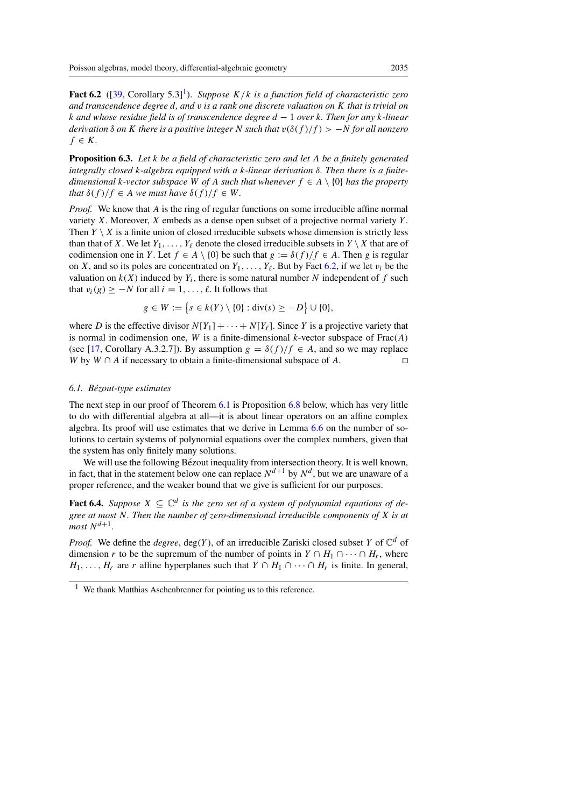**Fact 6.2** ([\[39,](#page-30-15) Corollary 5.3]<sup>1</sup>). *Suppose*  $K/k$  *is a function field of characteristic zero and transcendence degree* d*, and* v *is a rank one discrete valuation on* K *that is trivial on* k *and whose residue field is of transcendence degree* d − 1 *over* k*. Then for any* k*-linear derivation*  $\delta$  *on* K *there is a positive integer* N *such that*  $v(\delta(f)/f) > -N$  *for all nonzero*  $f \in K$ .

<span id="page-16-1"></span>Proposition 6.3. *Let* k *be a field of characteristic zero and let* A *be a finitely generated integrally closed* k*-algebra equipped with a* k*-linear derivation* δ*. Then there is a finitedimensional* k-vector subspace W of A such that whenever  $f \in A \setminus \{0\}$  has the property *that*  $\delta(f)/f \in A$  *we must have*  $\delta(f)/f \in W$ *.* 

*Proof.* We know that A is the ring of regular functions on some irreducible affine normal variety  $X$ . Moreover,  $X$  embeds as a dense open subset of a projective normal variety  $Y$ . Then  $Y \setminus X$  is a finite union of closed irreducible subsets whose dimension is strictly less than that of X. We let  $Y_1, \ldots, Y_\ell$  denote the closed irreducible subsets in  $Y \setminus X$  that are of codimension one in Y. Let  $f \in A \setminus \{0\}$  be such that  $g := \delta(f)/f \in A$ . Then g is regular on X, and so its poles are concentrated on  $Y_1, \ldots, Y_\ell$ . But by Fact [6.2,](#page-15-3) if we let  $v_i$  be the valuation on  $k(X)$  induced by  $Y_i$ , there is some natural number N independent of f such that  $v_i(g) \geq -N$  for all  $i = 1, \ldots, \ell$ . It follows that

$$
g \in W := \{ s \in k(Y) \setminus \{0\} : \text{div}(s) \ge -D \} \cup \{0\},\
$$

where D is the effective divisor  $N[Y_1]+\cdots+N[Y_\ell]$ . Since Y is a projective variety that is normal in codimension one, W is a finite-dimensional k-vector subspace of  $Frac(A)$ (see [\[17,](#page-29-18) Corollary A.3.2.7]). By assumption  $g = \delta(f)/f \in A$ , and so we may replace W by  $W \cap A$  if necessary to obtain a finite-dimensional subspace of A. W by  $W \cap A$  if necessary to obtain a finite-dimensional subspace of A.

## <span id="page-16-0"></span>*6.1. Bezout-type estimates ´*

The next step in our proof of Theorem [6.1](#page-15-1) is Proposition [6.8](#page-18-0) below, which has very little to do with differential algebra at all—it is about linear operators on an affine complex algebra. Its proof will use estimates that we derive in Lemma [6.6](#page-17-0) on the number of solutions to certain systems of polynomial equations over the complex numbers, given that the system has only finitely many solutions.

We will use the following Bézout inequality from intersection theory. It is well known, in fact, that in the statement below one can replace  $N^{d+1}$  by  $N^d$ , but we are unaware of a proper reference, and the weaker bound that we give is sufficient for our purposes.

<span id="page-16-3"></span>**Fact 6.4.** *Suppose*  $X \subseteq \mathbb{C}^d$  *is the zero set of a system of polynomial equations of degree at most* N*. Then the number of zero-dimensional irreducible components of* X *is at*  $most N^{d+1}$ .

*Proof.* We define the *degree*, deg(Y), of an irreducible Zariski closed subset Y of  $\mathbb{C}^d$  of dimension r to be the supremum of the number of points in  $Y \cap H_1 \cap \cdots \cap H_r$ , where  $H_1, \ldots, H_r$  are r affine hyperplanes such that  $Y \cap H_1 \cap \cdots \cap H_r$  is finite. In general,

<span id="page-16-2"></span> $1$  We thank Matthias Aschenbrenner for pointing us to this reference.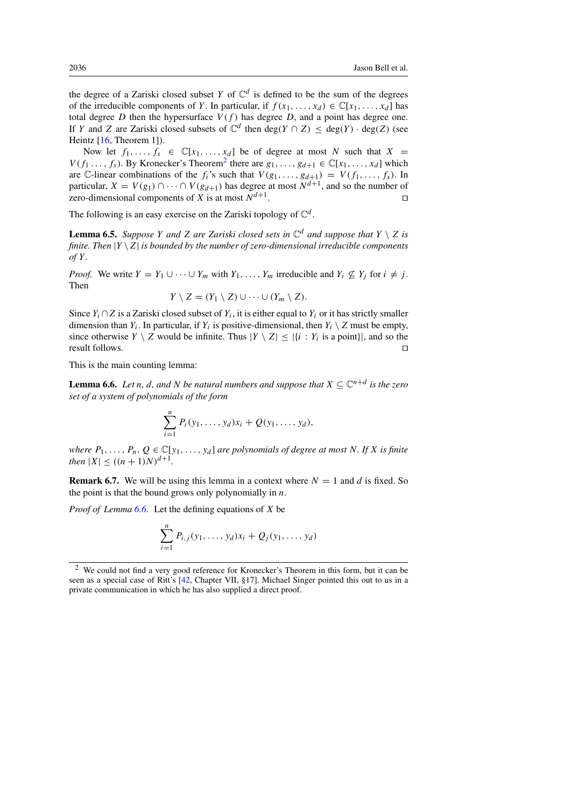the degree of a Zariski closed subset Y of  $\mathbb{C}^d$  is defined to be the sum of the degrees of the irreducible components of Y. In particular, if  $f(x_1,...,x_d) \in \mathbb{C}[x_1,...,x_d]$  has total degree D then the hypersurface  $V(f)$  has degree D, and a point has degree one. If Y and Z are Zariski closed subsets of  $\mathbb{C}^d$  then deg(Y  $\cap$  Z)  $\leq$  deg(Y)  $\cdot$  deg(Z) (see Heintz  $[16,$  Theorem 1]).

Now let  $f_1, \ldots, f_s \in \mathbb{C}[x_1, \ldots, x_d]$  be of degree at most N such that  $X =$  $V(f_1, \ldots, f_s)$ . By Kronecker's Theorem<sup>[2](#page-17-1)</sup> there are  $g_1, \ldots, g_{d+1} \in \mathbb{C}[x_1, \ldots, x_d]$  which are C-linear combinations of the  $f_i$ 's such that  $V(g_1, \ldots, g_{d+1}) = V(f_1, \ldots, f_s)$ . In particular,  $X = V(g_1) \cap \cdots \cap V(g_{d+1})$  has degree at most  $N^{d+1}$ , and so the number of zero-dimensional components of X is at most  $N^{d+1}$ . zero-dimensional components of X is at most  $N^{d+1}$ .

The following is an easy exercise on the Zariski topology of  $\mathbb{C}^d$ .

<span id="page-17-2"></span>**Lemma 6.5.** *Suppose Y and Z are Zariski closed sets in*  $\mathbb{C}^d$  *and suppose that*  $Y \setminus Z$  *is finite. Then*  $|Y \setminus Z|$  *is bounded by the number of zero-dimensional irreducible components of* Y *.*

*Proof.* We write  $Y = Y_1 \cup \cdots \cup Y_m$  with  $Y_1, \ldots, Y_m$  irreducible and  $Y_i \nsubseteq Y_j$  for  $i \neq j$ . Then

$$
Y\setminus Z=(Y_1\setminus Z)\cup\cdots\cup(Y_m\setminus Z).
$$

Since  $Y_i \cap Z$  is a Zariski closed subset of  $Y_i$ , it is either equal to  $Y_i$  or it has strictly smaller dimension than  $Y_i$ . In particular, if  $Y_i$  is positive-dimensional, then  $Y_i \setminus Z$  must be empty, since otherwise  $Y \setminus Z$  would be infinite. Thus  $|Y \setminus Z| \leq |\{i : Y_i \text{ is a point}\}|$ , and so the result follows.  $\Box$ 

<span id="page-17-0"></span>This is the main counting lemma:

**Lemma 6.6.** *Let n, d,* and *N be natural numbers and suppose that*  $X \subseteq \mathbb{C}^{n+d}$  *is the zero set of a system of polynomials of the form*

$$
\sum_{i=1}^n P_i(y_1,\ldots,y_d)x_i + Q(y_1,\ldots,y_d),
$$

*where*  $P_1, \ldots, P_n, Q \in \mathbb{C}[y_1, \ldots, y_d]$  *are polynomials of degree at most* N. If X *is finite then*  $|X| \le ((n+1)N)^{d+1}$ .

**Remark 6.7.** We will be using this lemma in a context where  $N = 1$  and d is fixed. So the point is that the bound grows only polynomially in  $n$ .

*Proof of Lemma [6.6.](#page-17-0)* Let the defining equations of X be

$$
\sum_{i=1}^{n} P_{i,j}(y_1,\ldots,y_d)x_i + Q_j(y_1,\ldots,y_d)
$$

<span id="page-17-1"></span><sup>2</sup> We could not find a very good reference for Kronecker's Theorem in this form, but it can be seen as a special case of Ritt's [\[42,](#page-30-16) Chapter VII, §17]. Michael Singer pointed this out to us in a private communication in which he has also supplied a direct proof.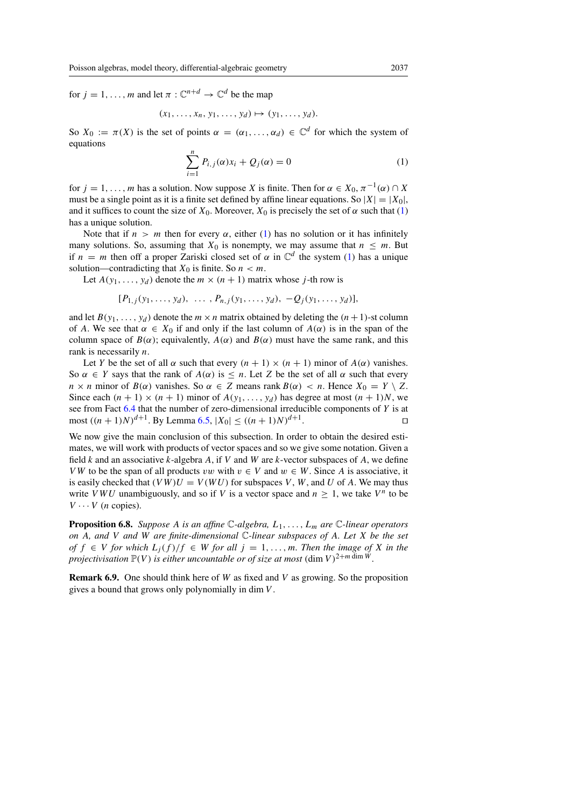for  $j = 1, \ldots, m$  and let  $\pi : \mathbb{C}^{n+d} \to \mathbb{C}^d$  be the map

$$
(x_1,\ldots,x_n,y_1,\ldots,y_d)\mapsto (y_1,\ldots,y_d).
$$

<span id="page-18-1"></span>So  $X_0 := \pi(X)$  is the set of points  $\alpha = (\alpha_1, \dots, \alpha_d) \in \mathbb{C}^d$  for which the system of equations

$$
\sum_{i=1}^{n} P_{i,j}(\alpha) x_i + Q_j(\alpha) = 0
$$
 (1)

for  $j = 1, \ldots, m$  has a solution. Now suppose X is finite. Then for  $\alpha \in X_0, \pi^{-1}(\alpha) \cap X$ must be a single point as it is a finite set defined by affine linear equations. So  $|X|=|X_0|$ , and it suffices to count the size of  $X_0$ . Moreover,  $X_0$  is precisely the set of  $\alpha$  such that [\(1\)](#page-18-1) has a unique solution.

Note that if  $n > m$  then for every  $\alpha$ , either [\(1\)](#page-18-1) has no solution or it has infinitely many solutions. So, assuming that  $X_0$  is nonempty, we may assume that  $n \leq m$ . But if  $n = m$  then off a proper Zariski closed set of  $\alpha$  in  $\mathbb{C}^d$  the system [\(1\)](#page-18-1) has a unique solution—contradicting that  $X_0$  is finite. So  $n < m$ .

Let  $A(y_1,...,y_d)$  denote the  $m \times (n + 1)$  matrix whose j-th row is

$$
[P_{1,j}(y_1,\ldots,y_d),\ \ldots\ ,P_{n,j}(y_1,\ldots,y_d),\ -Q_j(y_1,\ldots,y_d)],
$$

and let  $B(y_1, \ldots, y_d)$  denote the  $m \times n$  matrix obtained by deleting the  $(n+1)$ -st column of A. We see that  $\alpha \in X_0$  if and only if the last column of  $A(\alpha)$  is in the span of the column space of  $B(\alpha)$ ; equivalently,  $A(\alpha)$  and  $B(\alpha)$  must have the same rank, and this rank is necessarily n.

Let Y be the set of all  $\alpha$  such that every  $(n + 1) \times (n + 1)$  minor of  $A(\alpha)$  vanishes. So  $\alpha \in Y$  says that the rank of  $A(\alpha)$  is  $\leq n$ . Let Z be the set of all  $\alpha$  such that every  $n \times n$  minor of  $B(\alpha)$  vanishes. So  $\alpha \in Z$  means rank  $B(\alpha) < n$ . Hence  $X_0 = Y \setminus Z$ . Since each  $(n + 1) \times (n + 1)$  minor of  $A(y_1,...,y_d)$  has degree at most  $(n + 1)N$ , we see from Fact  $6.4$  that the number of zero-dimensional irreducible components of Y is at  $\text{most } ((n+1)N)^{d+1}$ . By Lemma [6.5,](#page-17-2)  $|X_0| \le ((n+1)N)^{d+1}$ .

We now give the main conclusion of this subsection. In order to obtain the desired estimates, we will work with products of vector spaces and so we give some notation. Given a field k and an associative k-algebra A, if V and W are k-vector subspaces of A, we define VW to be the span of all products vw with  $v \in V$  and  $w \in W$ . Since A is associative, it is easily checked that  $(VW)U = V(WU)$  for subspaces V, W, and U of A. We may thus write VWU unambiguously, and so if V is a vector space and  $n \geq 1$ , we take V<sup>n</sup> to be  $V \cdots V$  (*n* copies).

<span id="page-18-0"></span>Proposition 6.8. *Suppose* A *is an affine* C*-algebra,* L1,...,Lm *are* C*-linear operators on* A*, and* V *and* W *are finite-dimensional* C*-linear subspaces of* A*. Let* X *be the set of*  $f$  ∈ V *for which*  $L_i(f)/f$  ∈ W *for all*  $j = 1, ..., m$ *. Then the image of* X *in the projectivisation*  $\mathbb{P}(V)$  *is either uncountable or of size at most* (dim  $V$ )<sup>2+m dim W</sup>.

**Remark 6.9.** One should think here of W as fixed and V as growing. So the proposition gives a bound that grows only polynomially in dim V .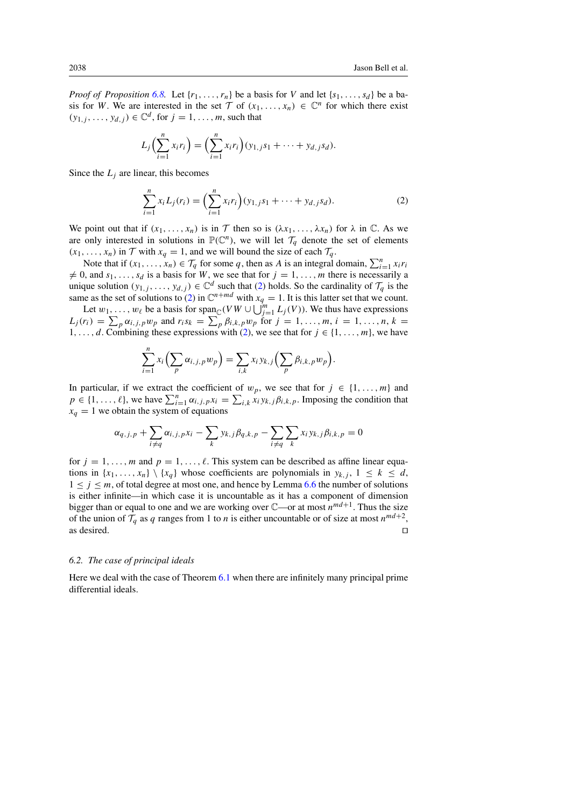*Proof of Proposition* [6.8.](#page-18-0) Let  $\{r_1, \ldots, r_n\}$  be a basis for V and let  $\{s_1, \ldots, s_d\}$  be a basis for W. We are interested in the set  $\mathcal T$  of  $(x_1,\ldots,x_n) \in \mathbb C^n$  for which there exist  $(y_{1,j}, \ldots, y_{d,j}) \in \mathbb{C}^d$ , for  $j = 1, \ldots, m$ , such that

$$
L_j\Big(\sum_{i=1}^n x_i r_i\Big) = \Big(\sum_{i=1}^n x_i r_i\Big) (y_{1,j} s_1 + \cdots + y_{d,j} s_d).
$$

Since the  $L_i$  are linear, this becomes

<span id="page-19-2"></span>
$$
\sum_{i=1}^{n} x_i L_j(r_i) = \left(\sum_{i=1}^{n} x_i r_i\right) (y_{1,j} s_1 + \dots + y_{d,j} s_d).
$$
 (2)

We point out that if  $(x_1,...,x_n)$  is in  $\mathcal T$  then so is  $(\lambda x_1,..., \lambda x_n)$  for  $\lambda$  in  $\mathbb C$ . As we are only interested in solutions in  $\mathbb{P}(\mathbb{C}^n)$ , we will let  $\mathcal{T}_q$  denote the set of elements  $(x_1, \ldots, x_n)$  in  $\mathcal T$  with  $x_q = 1$ , and we will bound the size of each  $\mathcal T_q$ .

Note that if  $(x_1, \ldots, x_n) \in \mathcal{T}_q$  for some q, then as A is an integral domain,  $\sum_{i=1}^n x_i r_i$  $\neq 0$ , and  $s_1, \ldots, s_d$  is a basis for W, we see that for  $j = 1, \ldots, m$  there is necessarily a unique solution  $(y_{1,j},...,y_{d,j}) \in \mathbb{C}^d$  such that [\(2\)](#page-19-2) holds. So the cardinality of  $\mathcal{T}_q$  is the same as the set of solutions to [\(2\)](#page-19-2) in  $\mathbb{C}^{n+md}$  with  $x_q = 1$ . It is this latter set that we count.

Let  $w_1, \ldots, w_\ell$  be a basis for span<sub>C</sub>( $V W \cup \bigcup_{j=1}^m L_j(V)$ ). We thus have expressions  $L_j(r_i) = \sum_p \alpha_{i,j,p} w_p$  and  $r_i s_k = \sum_p \beta_{i,k,p} w_p$  for  $j = 1, ..., m, i = 1, ..., n, k =$ 1,...,d. Combining these expressions with [\(2\)](#page-19-2), we see that for  $j \in \{1, ..., m\}$ , we have

$$
\sum_{i=1}^n x_i \left( \sum_p \alpha_{i,j,p} w_p \right) = \sum_{i,k} x_i y_{k,j} \left( \sum_p \beta_{i,k,p} w_p \right).
$$

In particular, if we extract the coefficient of  $w_p$ , we see that for  $j \in \{1, ..., m\}$  and  $p \in \{1, \ldots, \ell\}$ , we have  $\sum_{i=1}^n \alpha_{i,j,p} x_i = \sum_{i,k} x_i y_{k,j} \beta_{i,k,p}$ . Imposing the condition that  $x_q = 1$  we obtain the system of equations

$$
\alpha_{q,j,p} + \sum_{i \neq q} \alpha_{i,j,p} x_i - \sum_k y_{k,j} \beta_{q,k,p} - \sum_{i \neq q} \sum_k x_i y_{k,j} \beta_{i,k,p} = 0
$$

for  $j = 1, \ldots, m$  and  $p = 1, \ldots, \ell$ . This system can be described as affine linear equations in  $\{x_1, \ldots, x_n\} \setminus \{x_a\}$  whose coefficients are polynomials in  $y_{k,i}$ ,  $1 \leq k \leq d$ ,  $1 \le j \le m$ , of total degree at most one, and hence by Lemma [6.6](#page-17-0) the number of solutions is either infinite—in which case it is uncountable as it has a component of dimension bigger than or equal to one and we are working over  $\mathbb{C}$ —or at most  $n^{md+1}$ . Thus the size of the union of  $\mathcal{T}_q$  as q ranges from 1 to n is either uncountable or of size at most  $n^{md+2}$ , as desired. as desired.  $\Box$ 

## <span id="page-19-0"></span>*6.2. The case of principal ideals*

<span id="page-19-1"></span>Here we deal with the case of Theorem [6.1](#page-15-1) when there are infinitely many principal prime differential ideals.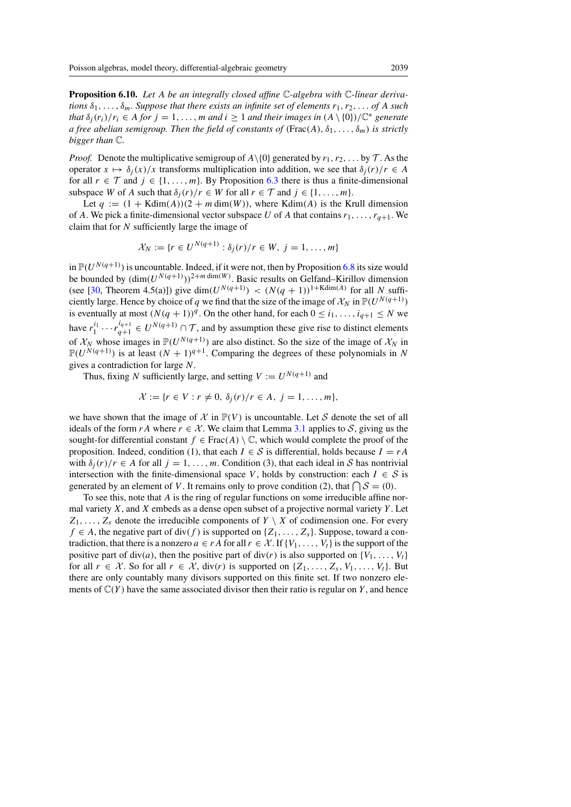Proposition 6.10. *Let* A *be an integrally closed affine* C*-algebra with* C*-linear derivations*  $\delta_1, \ldots, \delta_m$ . Suppose that there exists an infinite set of elements  $r_1, r_2, \ldots$  of A such *that*  $\delta_i(r_i)/r_i \in A$  *for*  $j = 1, \ldots, m$  *and*  $i \ge 1$  *and their images in*  $(A \setminus \{0\})/\mathbb{C}^*$  *generate a free abelian semigroup. Then the field of constants of* (Frac(A),  $\delta_1, \ldots, \delta_m$ ) *is strictly bigger than* C*.*

*Proof.* Denote the multiplicative semigroup of  $A \setminus \{0\}$  generated by  $r_1, r_2, \ldots$  by  $\mathcal T$ . As the operator  $x \mapsto \delta_i(x)/x$  transforms multiplication into addition, we see that  $\delta_i(r)/r \in A$ for all  $r \in \mathcal{T}$  and  $j \in \{1, ..., m\}$ . By Proposition [6.3](#page-16-1) there is thus a finite-dimensional subspace W of A such that  $\delta_j(r)/r \in W$  for all  $r \in \mathcal{T}$  and  $j \in \{1, \ldots, m\}$ .

Let  $q := (1 + Kdim(A))(2 + m dim(W))$ , where Kdim(A) is the Krull dimension of A. We pick a finite-dimensional vector subspace U of A that contains  $r_1, \ldots, r_{q+1}$ . We claim that for  $N$  sufficiently large the image of

$$
\mathcal{X}_N := \{r \in U^{N(q+1)} : \delta_j(r)/r \in W, \ j = 1, \ldots, m\}
$$

in  $\mathbb{P}(U^{N(q+1)})$  is uncountable. Indeed, if it were not, then by Proposition [6.8](#page-18-0) its size would be bounded by  $(\dim(U^{N(q+1)}))^{2+m \dim(W)}$ . Basic results on Gelfand–Kirillov dimension (see [\[30,](#page-30-17) Theorem 4.5(a)]) give dim( $U^{N(q+1)}$ ) <  $(N(q + 1))$ <sup>1+Kdim(A)</sup> for all N sufficiently large. Hence by choice of q we find that the size of the image of  $\mathcal{X}_N$  in  $\mathbb{P}(U^{N(q+1)})$ is eventually at most  $(N(q + 1))^q$ . On the other hand, for each  $0 \le i_1, \ldots, i_{q+1} \le N$  we have  $r_1^{i_1} \cdots r_{q+1}^{i_{q+1}} \in U^{N(q+1)} \cap \mathcal{T}$ , and by assumption these give rise to distinct elements of  $\mathcal{X}_N$  whose images in  $\mathbb{P}(U^{N(q+1)})$  are also distinct. So the size of the image of  $\mathcal{X}_N$  in  $\mathbb{P}(U^{N(q+1)})$  is at least  $(N + 1)^{q+1}$ . Comparing the degrees of these polynomials in N gives a contradiction for large N.

Thus, fixing N sufficiently large, and setting  $V := U^{N(q+1)}$  and

$$
\mathcal{X} := \{r \in V : r \neq 0, \ \delta_j(r)/r \in A, \ j = 1, \ldots, m\},\
$$

we have shown that the image of  $\mathcal X$  in  $\mathbb P(V)$  is uncountable. Let S denote the set of all ideals of the form r A where  $r \in \mathcal{X}$ . We claim that Lemma [3.1](#page-5-1) applies to *S*, giving us the sought-for differential constant  $f \in Frac(A) \setminus \mathbb{C}$ , which would complete the proof of the proposition. Indeed, condition (1), that each  $I \in S$  is differential, holds because  $I = rA$ with  $\delta_i(r)/r \in A$  for all  $j = 1, \ldots, m$ . Condition (3), that each ideal in *S* has nontrivial intersection with the finite-dimensional space V, holds by construction: each  $I \in S$  is generated by an element of V. It remains only to prove condition (2), that  $\bigcap S = (0)$ .

To see this, note that A is the ring of regular functions on some irreducible affine normal variety  $X$ , and  $X$  embeds as a dense open subset of a projective normal variety  $Y$ . Let  $Z_1, \ldots, Z_s$  denote the irreducible components of  $Y \setminus X$  of codimension one. For every  $f \in A$ , the negative part of div(f) is supported on  $\{Z_1, \ldots, Z_s\}$ . Suppose, toward a contradiction, that there is a nonzero  $a \in rA$  for all  $r \in \mathcal{X}$ . If  $\{V_1, \ldots, V_t\}$  is the support of the positive part of div(a), then the positive part of div(r) is also supported on  $\{V_1, \ldots, V_t\}$ for all  $r \in \mathcal{X}$ . So for all  $r \in \mathcal{X}$ , div(r) is supported on  $\{Z_1, \ldots, Z_s, V_1, \ldots, V_t\}$ . But there are only countably many divisors supported on this finite set. If two nonzero elements of  $\mathbb{C}(Y)$  have the same associated divisor then their ratio is regular on Y, and hence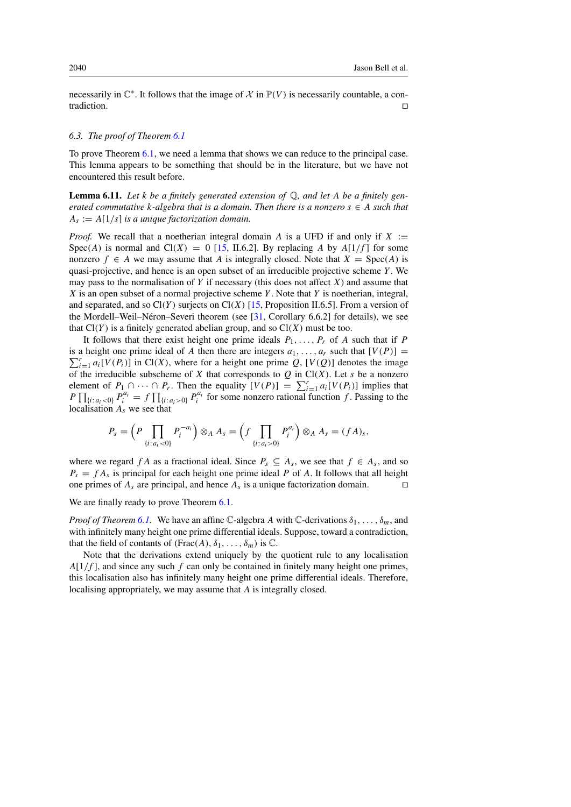necessarily in  $\mathbb{C}^*$ . It follows that the image of  $\mathcal X$  in  $\mathbb{P}(V)$  is necessarily countable, a contradiction.  $\Box$ 

## <span id="page-21-0"></span>*6.3. The proof of Theorem [6.1](#page-15-1)*

<span id="page-21-1"></span>To prove Theorem [6.1,](#page-15-1) we need a lemma that shows we can reduce to the principal case. This lemma appears to be something that should be in the literature, but we have not encountered this result before.

Lemma 6.11. *Let* k *be a finitely generated extension of* Q*, and let* A *be a finitely generated commutative* k-algebra that is a domain. Then there is a nonzero  $s \in A$  such that  $A_s := A[1/s]$  *is a unique factorization domain.* 

*Proof.* We recall that a noetherian integral domain A is a UFD if and only if  $X :=$  $Spec(A)$  is normal and  $Cl(X) = 0$  [\[15,](#page-29-20) II.6.2]. By replacing A by  $A[1/f]$  for some nonzero  $f \in A$  we may assume that A is integrally closed. Note that  $X = \text{Spec}(A)$  is quasi-projective, and hence is an open subset of an irreducible projective scheme  $Y$ . We may pass to the normalisation of Y if necessary (this does not affect X) and assume that  $X$  is an open subset of a normal projective scheme  $Y$ . Note that  $Y$  is noetherian, integral, and separated, and so  $Cl(Y)$  surjects on  $Cl(X)$  [\[15,](#page-29-20) Proposition II.6.5]. From a version of the Mordell–Weil–Néron–Severi theorem (see  $[31,$  $[31,$  Corollary 6.6.2] for details), we see that  $Cl(Y)$  is a finitely generated abelian group, and so  $Cl(X)$  must be too.

It follows that there exist height one prime ideals  $P_1, \ldots, P_r$  of A such that if P is a height one prime ideal of A then there are integers  $a_1, \ldots, a_r$  such that  $[V(P)] = \sum_{r=0}^{r} [V(P_1)]$  in  $C^1(Y)$  where for a height one prime O  $[V(O)]$  denotes the image  $\sum_{i=1}^r a_i[V(P_i)]$  in Cl(X), where for a height one prime Q, [V(Q)] denotes the image of the irreducible subscheme of X that corresponds to  $Q$  in  $Cl(X)$ . Let s be a nonzero element of  $P_1 \cap \cdots \cap P_r$ . Then the equality  $[V(P)] = \sum_{i=1}^r a_i[V(P_i)]$  implies that  $P \prod_{\{i: a_i < 0\}} P_i^{a_i} = f \prod_{\{i: a_i > 0\}} P_i^{a_i}$  for some nonzero rational function f. Passing to the localisation  $A_s$  we see that

$$
P_s = \left(P \prod_{\{i:a_i<0\}} P_i^{-a_i}\right) \otimes_A A_s = \left(f \prod_{\{i:a_i>0\}} P_i^{a_i}\right) \otimes_A A_s = (fA)_s,
$$

where we regard f A as a fractional ideal. Since  $P_s \subseteq A_s$ , we see that  $f \in A_s$ , and so  $P_s = f A_s$  is principal for each height one prime ideal P of A. It follows that all height one primes of  $A_s$  are principal, and hence  $A_s$  is a unique factorization domain.  $\square$ 

## We are finally ready to prove Theorem  $6.1$ .

*Proof of Theorem [6.1.](#page-15-1)* We have an affine C-algebra A with C-derivations  $\delta_1, \ldots, \delta_m$ , and with infinitely many height one prime differential ideals. Suppose, toward a contradiction, that the field of contants of  $(Frac(A), \delta_1, \ldots, \delta_m)$  is  $\mathbb C$ .

Note that the derivations extend uniquely by the quotient rule to any localisation  $A[1/f]$ , and since any such f can only be contained in finitely many height one primes, this localisation also has infinitely many height one prime differential ideals. Therefore, localising appropriately, we may assume that A is integrally closed.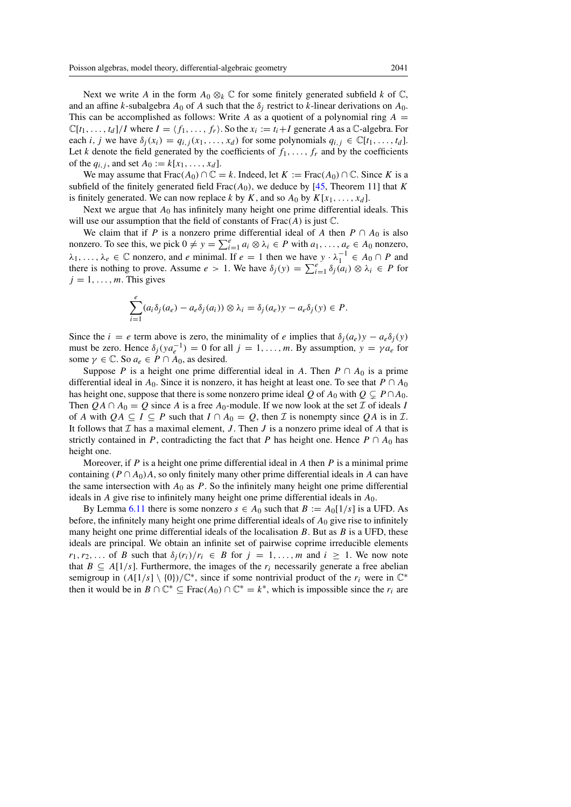Next we write A in the form  $A_0 \otimes_k \mathbb{C}$  for some finitely generated subfield k of  $\mathbb{C}$ , and an affine k-subalgebra  $A_0$  of A such that the  $\delta_j$  restrict to k-linear derivations on  $A_0$ . This can be accomplished as follows: Write A as a quotient of a polynomial ring  $A =$  $\mathbb{C}[t_1,\ldots,t_d]/I$  where  $I = \langle f_1,\ldots,f_r\rangle$ . So the  $x_i := t_i + I$  generate A as a C-algebra. For each i, j we have  $\delta_j(x_i) = q_{i,j}(x_1,\ldots,x_d)$  for some polynomials  $q_{i,j} \in \mathbb{C}[t_1,\ldots,t_d]$ . Let k denote the field generated by the coefficients of  $f_1, \ldots, f_r$  and by the coefficients of the  $q_{i,j}$ , and set  $A_0 := k[x_1,\ldots,x_d]$ .

We may assume that Frac( $A_0$ )  $\cap \mathbb{C} = k$ . Indeed, let  $K := \text{Frac}(A_0) \cap \mathbb{C}$ . Since K is a subfield of the finitely generated field  $Frac(A_0)$ , we deduce by [\[45,](#page-30-19) Theorem 11] that K is finitely generated. We can now replace k by K, and so  $A_0$  by  $K[x_1, \ldots, x_d]$ .

Next we argue that  $A_0$  has infinitely many height one prime differential ideals. This will use our assumption that the field of constants of  $Frac(A)$  is just  $\mathbb{C}$ .

We claim that if P is a nonzero prime differential ideal of A then  $P \cap A_0$  is also nonzero. To see this, we pick  $0 \neq y = \sum_{i=1}^{e} a_i \otimes \lambda_i \in P$  with  $a_1, \ldots, a_e \in A_0$  nonzero,  $\lambda_1, \ldots, \lambda_e \in \mathbb{C}$  nonzero, and e minimal. If  $e = 1$  then we have  $y \cdot \lambda_1^{-1} \in A_0 \cap P$  and there is nothing to prove. Assume  $e > 1$ . We have  $\delta_j(y) = \sum_{i=1}^e \delta_j(a_i) \otimes \lambda_i \in P$  for  $j = 1, \ldots, m$ . This gives

$$
\sum_{i=1}^e (a_i \delta_j(a_e) - a_e \delta_j(a_i)) \otimes \lambda_i = \delta_j(a_e) y - a_e \delta_j(y) \in P.
$$

Since the  $i = e$  term above is zero, the minimality of e implies that  $\delta_i(a_e)y - a_e\delta_i(y)$ must be zero. Hence  $\delta_i (ya_e^{-1}) = 0$  for all  $j = 1, \ldots, m$ . By assumption,  $y = \gamma a_e$  for some  $\gamma \in \mathbb{C}$ . So  $a_e \in P \cap A_0$ , as desired.

Suppose P is a height one prime differential ideal in A. Then  $P \cap A_0$  is a prime differential ideal in  $A_0$ . Since it is nonzero, it has height at least one. To see that  $P \cap A_0$ has height one, suppose that there is some nonzero prime ideal Q of  $A_0$  with  $Q \subseteq P \cap A_0$ . Then  $QA \cap A_0 = Q$  since A is a free  $A_0$ -module. If we now look at the set *I* of ideals *I* of A with  $QA \subseteq I \subseteq P$  such that  $I \cap A_0 = Q$ , then  $\mathcal I$  is nonempty since  $QA$  is in  $\mathcal I$ . It follows that  $I$  has a maximal element,  $J$ . Then  $J$  is a nonzero prime ideal of  $A$  that is strictly contained in P, contradicting the fact that P has height one. Hence  $P \cap A_0$  has height one.

Moreover, if  $P$  is a height one prime differential ideal in  $A$  then  $P$  is a minimal prime containing ( $P \cap A_0$ )A, so only finitely many other prime differential ideals in A can have the same intersection with  $A_0$  as P. So the infinitely many height one prime differential ideals in  $A$  give rise to infinitely many height one prime differential ideals in  $A_0$ .

By Lemma [6.11](#page-21-1) there is some nonzero  $s \in A_0$  such that  $B := A_0[1/s]$  is a UFD. As before, the infinitely many height one prime differential ideals of  $A_0$  give rise to infinitely many height one prime differential ideals of the localisation  $B$ . But as  $B$  is a UFD, these ideals are principal. We obtain an infinite set of pairwise coprime irreducible elements  $r_1, r_2,...$  of B such that  $\delta_i(r_i)/r_i \in B$  for  $j = 1,...,m$  and  $i \ge 1$ . We now note that  $B \subseteq A[1/s]$ . Furthermore, the images of the  $r_i$  necessarily generate a free abelian semigroup in  $(A[1/s]\setminus\{0\})/\mathbb{C}^*$ , since if some nontrivial product of the  $r_i$  were in  $\mathbb{C}^*$ then it would be in  $B \cap \mathbb{C}^* \subseteq \text{Frac}(A_0) \cap \mathbb{C}^* = k^*$ , which is impossible since the  $r_i$  are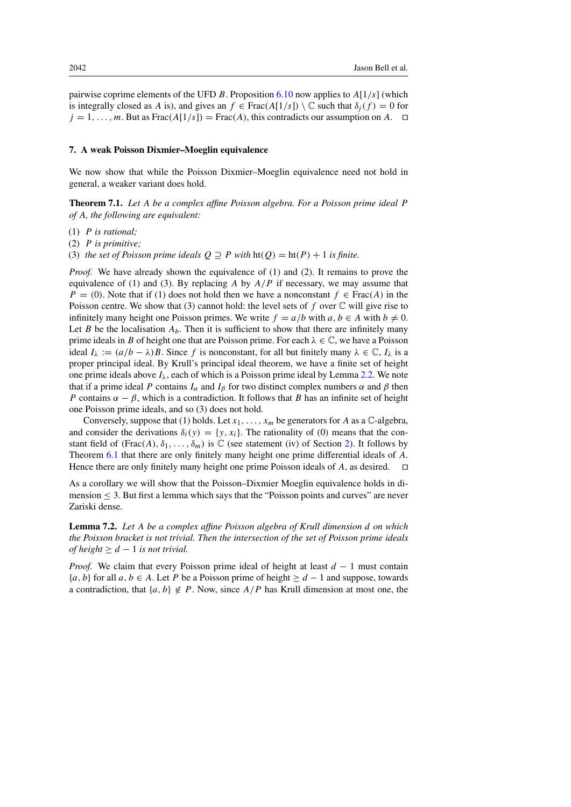pairwise coprime elements of the UFD B. Proposition [6.10](#page-19-1) now applies to  $A[1/s]$  (which is integrally closed as A is), and gives an  $f \in Frac(A[1/s]) \setminus \mathbb{C}$  such that  $\delta_i(f) = 0$  for  $j = 1, \ldots, m$ . But as Frac $(A[1/s])$  = Frac $(A)$ , this contradicts our assumption on A.  $\Box$ 

#### <span id="page-23-0"></span>7. A weak Poisson Dixmier–Moeglin equivalence

We now show that while the Poisson Dixmier–Moeglin equivalence need not hold in general, a weaker variant does hold.

<span id="page-23-1"></span>Theorem 7.1. *Let* A *be a complex affine Poisson algebra. For a Poisson prime ideal* P *of* A*, the following are equivalent:*

- (1) P *is rational;*
- (2) P *is primitive;*
- (3) *the set of Poisson prime ideals*  $Q \supseteq P$  *with*  $ht(Q) = ht(P) + 1$  *is finite.*

*Proof.* We have already shown the equivalence of (1) and (2). It remains to prove the equivalence of (1) and (3). By replacing A by  $A/P$  if necessary, we may assume that  $P = (0)$ . Note that if (1) does not hold then we have a nonconstant  $f \in Frac(A)$  in the Poisson centre. We show that (3) cannot hold: the level sets of f over  $\mathbb C$  will give rise to infinitely many height one Poisson primes. We write  $f = a/b$  with  $a, b \in A$  with  $b \neq 0$ . Let B be the localisation  $A_b$ . Then it is sufficient to show that there are infinitely many prime ideals in B of height one that are Poisson prime. For each  $\lambda \in \mathbb{C}$ , we have a Poisson ideal  $I_{\lambda} := (a/b - \lambda)B$ . Since f is nonconstant, for all but finitely many  $\lambda \in \mathbb{C}$ ,  $I_{\lambda}$  is a proper principal ideal. By Krull's principal ideal theorem, we have a finite set of height one prime ideals above  $I_{\lambda}$ , each of which is a Poisson prime ideal by Lemma [2.2.](#page-5-2) We note that if a prime ideal P contains  $I_{\alpha}$  and  $I_{\beta}$  for two distinct complex numbers  $\alpha$  and  $\beta$  then P contains  $\alpha - \beta$ , which is a contradiction. It follows that B has an infinite set of height one Poisson prime ideals, and so (3) does not hold.

Conversely, suppose that (1) holds. Let  $x_1, \ldots, x_m$  be generators for A as a C-algebra, and consider the derivations  $\delta_i(y) = \{y, x_i\}$ . The rationality of (0) means that the constant field of  $(Frac(A), \delta_1, \ldots, \delta_m)$  is  $\mathbb C$  (see statement (iv) of Section [2\)](#page-4-0). It follows by Theorem [6.1](#page-15-1) that there are only finitely many height one prime differential ideals of A. Hence there are only finitely many height one prime Poisson ideals of A, as desired.  $\Box$ 

As a corollary we will show that the Poisson–Dixmier Moeglin equivalence holds in dimension ≤ 3. But first a lemma which says that the "Poisson points and curves" are never Zariski dense.

<span id="page-23-2"></span>Lemma 7.2. *Let* A *be a complex affine Poisson algebra of Krull dimension* d *on which the Poisson bracket is not trivial. Then the intersection of the set of Poisson prime ideals of height*  $\geq d - 1$  *is not trivial.* 

*Proof.* We claim that every Poisson prime ideal of height at least  $d - 1$  must contain  ${a, b}$  for all  $a, b \in A$ . Let P be a Poisson prime of height  $> d - 1$  and suppose, towards a contradiction, that  $\{a, b\} \notin P$ . Now, since  $A/P$  has Krull dimension at most one, the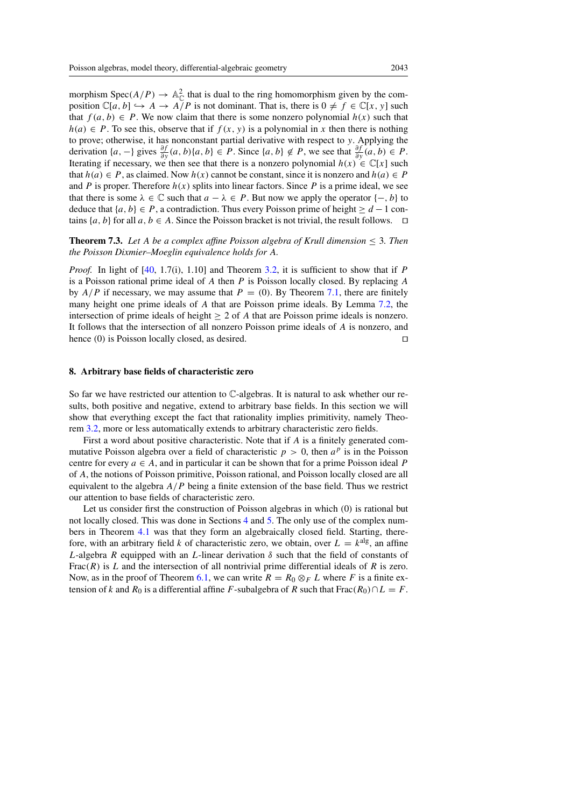morphism  $Spec(A/P) \to \mathbb{A}_{\mathbb{C}}^2$  that is dual to the ring homomorphism given by the composition  $\mathbb{C}[a, b] \hookrightarrow A \to A \check{P}$  is not dominant. That is, there is  $0 \neq f \in \mathbb{C}[x, y]$  such that  $f(a, b) \in P$ . We now claim that there is some nonzero polynomial  $h(x)$  such that  $h(a) \in P$ . To see this, observe that if  $f(x, y)$  is a polynomial in x then there is nothing to prove; otherwise, it has nonconstant partial derivative with respect to y. Applying the derivation  $\{a, -\}$  gives  $\frac{\partial f}{\partial y}(a, b)$   $\{a, b\} \in P$ . Since  $\{a, b\} \notin P$ , we see that  $\frac{\partial f}{\partial y}(a, b) \in P$ . Iterating if necessary, we then see that there is a nonzero polynomial  $h(x) \in \mathbb{C}[x]$  such that  $h(a) \in P$ , as claimed. Now  $h(x)$  cannot be constant, since it is nonzero and  $h(a) \in P$ and P is proper. Therefore  $h(x)$  splits into linear factors. Since P is a prime ideal, we see that there is some  $\lambda \in \mathbb{C}$  such that  $a - \lambda \in P$ . But now we apply the operator  $\{-, b\}$  to deduce that  $\{a, b\} \in P$ , a contradiction. Thus every Poisson prime of height  $\geq d-1$  contains  $\{a, b\}$  for all  $a, b \in A$ . Since the Poisson bracket is not trivial, the result follows.  $\Box$ 

<span id="page-24-1"></span>**Theorem 7.3.** Let A be a complex affine Poisson algebra of Krull dimension  $\leq$  3. Then *the Poisson Dixmier–Moeglin equivalence holds for* A*.*

*Proof.* In light of [\[40,](#page-30-6) 1.7(i), 1.10] and Theorem [3.2,](#page-6-0) it is sufficient to show that if P is a Poisson rational prime ideal of A then P is Poisson locally closed. By replacing A by  $A/P$  if necessary, we may assume that  $P = (0)$ . By Theorem [7.1,](#page-23-1) there are finitely many height one prime ideals of A that are Poisson prime ideals. By Lemma [7.2,](#page-23-2) the intersection of prime ideals of height  $\geq 2$  of A that are Poisson prime ideals is nonzero. It follows that the intersection of all nonzero Poisson prime ideals of A is nonzero, and hence (0) is Poisson locally closed, as desired.  $\Box$ 

#### <span id="page-24-0"></span>8. Arbitrary base fields of characteristic zero

So far we have restricted our attention to  $\mathbb{C}$ -algebras. It is natural to ask whether our results, both positive and negative, extend to arbitrary base fields. In this section we will show that everything except the fact that rationality implies primitivity, namely Theorem [3.2,](#page-6-0) more or less automatically extends to arbitrary characteristic zero fields.

First a word about positive characteristic. Note that if A is a finitely generated commutative Poisson algebra over a field of characteristic  $p > 0$ , then  $a^p$  is in the Poisson centre for every  $a \in A$ , and in particular it can be shown that for a prime Poisson ideal P of A, the notions of Poisson primitive, Poisson rational, and Poisson locally closed are all equivalent to the algebra  $A/P$  being a finite extension of the base field. Thus we restrict our attention to base fields of characteristic zero.

Let us consider first the construction of Poisson algebras in which (0) is rational but not locally closed. This was done in Sections [4](#page-7-0) and [5.](#page-14-0) The only use of the complex numbers in Theorem [4.1](#page-7-1) was that they form an algebraically closed field. Starting, therefore, with an arbitrary field k of characteristic zero, we obtain, over  $L = k<sup>alg</sup>$ , an affine L-algebra R equipped with an L-linear derivation  $\delta$  such that the field of constants of Frac( $R$ ) is L and the intersection of all nontrivial prime differential ideals of R is zero. Now, as in the proof of Theorem [6.1,](#page-15-1) we can write  $R = R_0 \otimes_F L$  where F is a finite extension of k and R<sub>0</sub> is a differential affine F-subalgebra of R such that Frac(R<sub>0</sub>)∩L = F.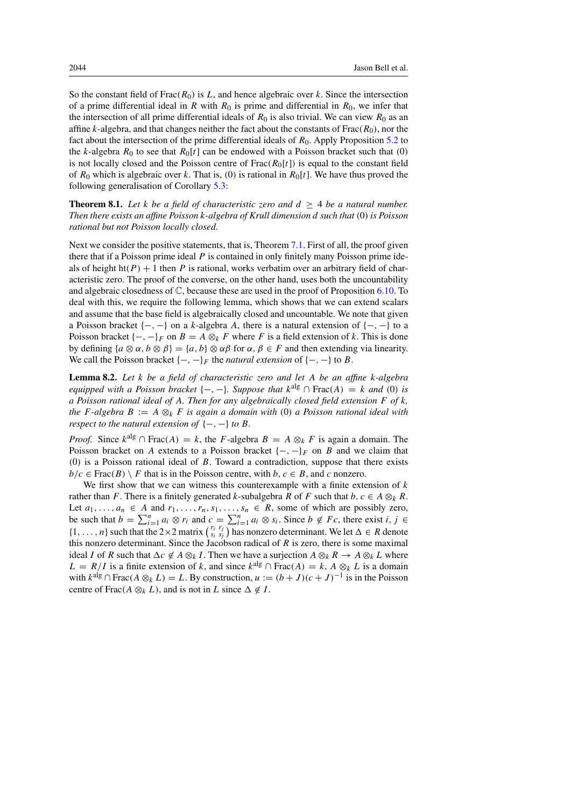So the constant field of Frac( $R_0$ ) is L, and hence algebraic over k. Since the intersection of a prime differential ideal in R with  $R_0$  is prime and differential in  $R_0$ , we infer that the intersection of all prime differential ideals of  $R_0$  is also trivial. We can view  $R_0$  as an affine k-algebra, and that changes neither the fact about the constants of  $Frac(R_0)$ , nor the fact about the intersection of the prime differential ideals of  $R_0$ . Apply Proposition [5.2](#page-14-1) to the k-algebra  $R_0$  to see that  $R_0[t]$  can be endowed with a Poisson bracket such that (0) is not locally closed and the Poisson centre of  $Frac(R_0[t])$  is equal to the constant field of  $R_0$  which is algebraic over k. That is, (0) is rational in  $R_0[t]$ . We have thus proved the following generalisation of Corollary [5.3:](#page-15-2)

**Theorem 8.1.** Let *k* be a field of characteristic zero and  $d \geq 4$  be a natural number. *Then there exists an affine Poisson* k*-algebra of Krull dimension* d *such that* (0) *is Poisson rational but not Poisson locally closed.*

Next we consider the positive statements, that is, Theorem [7.1.](#page-23-1) First of all, the proof given there that if a Poisson prime ideal  $P$  is contained in only finitely many Poisson prime ideals of height ht(P) + 1 then P is rational, works verbatim over an arbitrary field of characteristic zero. The proof of the converse, on the other hand, uses both the uncountability and algebraic closedness of C, because these are used in the proof of Proposition [6.10.](#page-19-1) To deal with this, we require the following lemma, which shows that we can extend scalars and assume that the base field is algebraically closed and uncountable. We note that given a Poisson bracket  $\{-, -\}$  on a k-algebra A, there is a natural extension of  $\{-, -\}$  to a Poisson bracket  $\{-,-\}_F$  on  $B = A \otimes_k F$  where F is a field extension of k. This is done by defining  $\{a \otimes \alpha, b \otimes \beta\} = \{a, b\} \otimes \alpha\beta$  for  $\alpha, \beta \in F$  and then extending via linearity. We call the Poisson bracket  $\{-,-\}_F$  the *natural extension* of  $\{-,-\}$  to B.

<span id="page-25-0"></span>Lemma 8.2. *Let* k *be a field of characteristic zero and let* A *be an affine* k*-algebra equipped with a Poisson bracket*  $\{-,-\}$ *. Suppose that*  $k^{alg} \cap Frac(A) = k$  *and* (0) *is a Poisson rational ideal of* A*. Then for any algebraically closed field extension* F *of* k*, the* F-algebra  $B := A \otimes_k F$  *is again a domain with* (0) *a Poisson rational ideal with respect to the natural extension of*  $\{-,-\}$  *to* B.

*Proof.* Since  $k^{alg} \cap Frac(A) = k$ , the F-algebra  $B = A \otimes_k F$  is again a domain. The Poisson bracket on A extends to a Poisson bracket  $\{-, -\}_F$  on B and we claim that (0) is a Poisson rational ideal of  $B$ . Toward a contradiction, suppose that there exists  $b/c \in Frac(B) \setminus F$  that is in the Poisson centre, with  $b, c \in B$ , and c nonzero.

We first show that we can witness this counterexample with a finite extension of  $k$ rather than F. There is a finitely generated k-subalgebra R of F such that  $b, c \in A \otimes_k R$ . Let  $a_1, \ldots, a_n \in A$  and  $r_1, \ldots, r_n, s_1, \ldots, s_n \in R$ , some of which are possibly zero, be such that  $b = \sum_{i=1}^{n} a_i \otimes r_i$  and  $c = \sum_{i=1}^{n} a_i \otimes s_i$ . Since  $b \notin Fc$ , there exist  $i, j \in$  $\{1,\ldots,n\}$  such that the  $2\times 2$  matrix  $\begin{pmatrix} r_i & r_j \\ s_i & s_j \end{pmatrix}$  has nonzero determinant. We let  $\Delta \in R$  denote this nonzero determinant. Since the Jacobson radical of  $R$  is zero, there is some maximal ideal I of R such that  $\Delta c \notin A \otimes_k I$ . Then we have a surjection  $A \otimes_k R \to A \otimes_k L$  where  $L = R/I$  is a finite extension of k, and since  $k^{alg} \cap Frac(A) = k$ ,  $A \otimes_k L$  is a domain with  $k^{\text{alg}} \cap \text{Frac}(A \otimes_k L) = L$ . By construction,  $u := (b + J)(c + J)^{-1}$  is in the Poisson centre of Frac( $A \otimes_k L$ ), and is not in L since  $\Delta \notin I$ .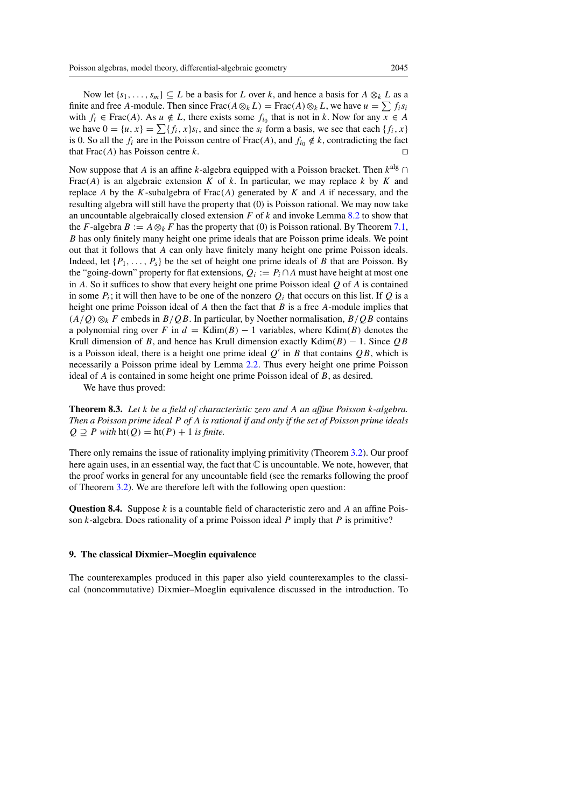Now let  $\{s_1,\ldots,s_m\} \subseteq L$  be a basis for L over k, and hence a basis for  $A \otimes_k L$  as a finite and free A-module. Then since Frac( $A \otimes_k L$ ) = Frac( $A \otimes_k L$ , we have  $u = \sum f_i s_i$ with  $f_i \in Frac(A)$ . As  $u \notin L$ , there exists some  $f_{i_0}$  that is not in k. Now for any  $x \in A$ we have  $0 = \{u, x\} = \sum \{f_i, x\} s_i$ , and since the  $s_i$  form a basis, we see that each  $\{f_i, x\}$ is 0. So all the  $f_i$  are in the Poisson centre of Frac(A), and  $f_{i_0} \notin k$ , contradicting the fact that  $Frac(A)$  has Poisson centre k.

Now suppose that A is an affine k-algebra equipped with a Poisson bracket. Then  $k^{alg} \cap$ Frac(A) is an algebraic extension K of k. In particular, we may replace k by K and replace A by the K-subalgebra of  $Frac(A)$  generated by K and A if necessary, and the resulting algebra will still have the property that (0) is Poisson rational. We may now take an uncountable algebraically closed extension  $F$  of  $k$  and invoke Lemma [8.2](#page-25-0) to show that the F-algebra  $B := A \otimes_k F$  has the property that (0) is Poisson rational. By Theorem [7.1,](#page-23-1) B has only finitely many height one prime ideals that are Poisson prime ideals. We point out that it follows that A can only have finitely many height one prime Poisson ideals. Indeed, let  $\{P_1, \ldots, P_s\}$  be the set of height one prime ideals of B that are Poisson. By the "going-down" property for flat extensions,  $Q_i := P_i \cap A$  must have height at most one in A. So it suffices to show that every height one prime Poisson ideal  $Q$  of A is contained in some  $P_i$ ; it will then have to be one of the nonzero  $Q_i$  that occurs on this list. If Q is a height one prime Poisson ideal of  $A$  then the fact that  $B$  is a free  $A$ -module implies that  $(A/Q) \otimes_k F$  embeds in  $B/QB$ . In particular, by Noether normalisation,  $B/QB$  contains a polynomial ring over F in  $d = Kdim(B) - 1$  variables, where Kdim(B) denotes the Krull dimension of B, and hence has Krull dimension exactly Kdim(B) – 1. Since  $OB$ is a Poisson ideal, there is a height one prime ideal  $Q'$  in B that contains  $QB$ , which is necessarily a Poisson prime ideal by Lemma [2.2.](#page-5-2) Thus every height one prime Poisson ideal of A is contained in some height one prime Poisson ideal of B, as desired.

We have thus proved:

Theorem 8.3. *Let* k *be a field of characteristic zero and* A *an affine Poisson* k*-algebra. Then a Poisson prime ideal* P *of* A *is rational if and only if the set of Poisson prime ideals*  $Q \supseteq P$  *with*  $ht(Q) = ht(P) + 1$  *is finite.* 

There only remains the issue of rationality implying primitivity (Theorem [3.2\)](#page-6-0). Our proof here again uses, in an essential way, the fact that  $\mathbb C$  is uncountable. We note, however, that the proof works in general for any uncountable field (see the remarks following the proof of Theorem [3.2\)](#page-6-0). We are therefore left with the following open question:

**Question 8.4.** Suppose  $k$  is a countable field of characteristic zero and  $A$  an affine Poisson  $k$ -algebra. Does rationality of a prime Poisson ideal  $P$  imply that  $P$  is primitive?

## <span id="page-26-0"></span>9. The classical Dixmier–Moeglin equivalence

The counterexamples produced in this paper also yield counterexamples to the classical (noncommutative) Dixmier–Moeglin equivalence discussed in the introduction. To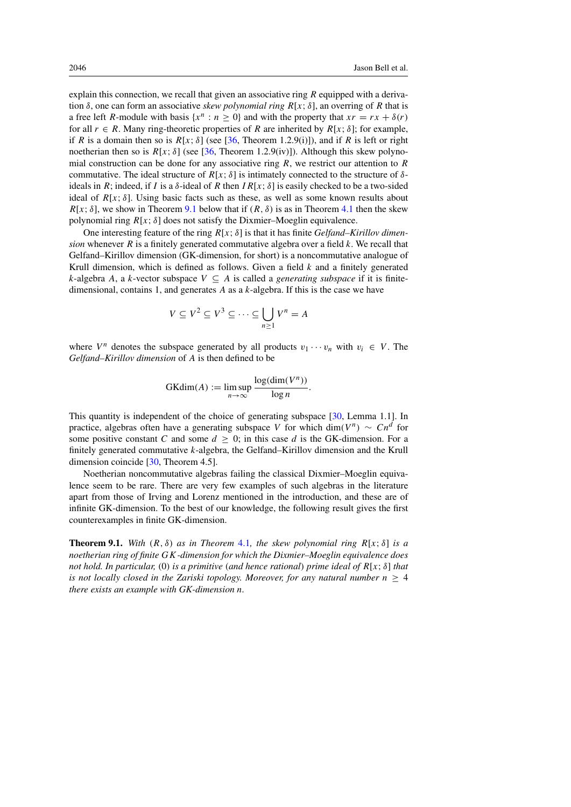explain this connection, we recall that given an associative ring  $R$  equipped with a derivation  $\delta$ , one can form an associative *skew polynomial ring*  $R[x; \delta]$ , an overring of R that is a free left R-module with basis { $x^n : n \ge 0$ } and with the property that  $xr = rx + \delta(r)$ for all  $r \in R$ . Many ring-theoretic properties of R are inherited by  $R[x; \delta]$ ; for example, if R is a domain then so is  $R[x; \delta]$  (see [\[36,](#page-30-2) Theorem 1.2.9(i)]), and if R is left or right noetherian then so is  $R[x; \delta]$  (see [\[36,](#page-30-2) Theorem 1.2.9(iv)]). Although this skew polynomial construction can be done for any associative ring  $R$ , we restrict our attention to  $R$ commutative. The ideal structure of  $R[x: \delta]$  is intimately connected to the structure of  $\delta$ ideals in R; indeed, if I is a  $\delta$ -ideal of R then IR[x;  $\delta$ ] is easily checked to be a two-sided ideal of  $R[x; \delta]$ . Using basic facts such as these, as well as some known results about  $R[x; \delta]$ , we show in Theorem [9.1](#page-27-0) below that if  $(R, \delta)$  is as in Theorem [4.1](#page-7-1) then the skew polynomial ring  $R[x; \delta]$  does not satisfy the Dixmier–Moeglin equivalence.

One interesting feature of the ring R[x; δ] is that it has finite *Gelfand–Kirillov dimension* whenever  $R$  is a finitely generated commutative algebra over a field  $k$ . We recall that Gelfand–Kirillov dimension (GK-dimension, for short) is a noncommutative analogue of Krull dimension, which is defined as follows. Given a field  $k$  and a finitely generated k-algebra A, a k-vector subspace  $V \subseteq A$  is called a *generating subspace* if it is finitedimensional, contains 1, and generates  $\vec{A}$  as a k-algebra. If this is the case we have

$$
V \subseteq V^2 \subseteq V^3 \subseteq \dots \subseteq \bigcup_{n \ge 1} V^n = A
$$

where  $V^n$  denotes the subspace generated by all products  $v_1 \cdots v_n$  with  $v_i \in V$ . The *Gelfand–Kirillov dimension* of A is then defined to be

$$
GKdim(A) := \limsup_{n \to \infty} \frac{\log(\dim(V^n))}{\log n}.
$$

This quantity is independent of the choice of generating subspace [\[30,](#page-30-17) Lemma 1.1]. In practice, algebras often have a generating subspace V for which dim( $V^n$ ) ~ Cn<sup>d</sup> for some positive constant C and some  $d \geq 0$ ; in this case d is the GK-dimension. For a finitely generated commutative k-algebra, the Gelfand–Kirillov dimension and the Krull dimension coincide [\[30,](#page-30-17) Theorem 4.5].

Noetherian noncommutative algebras failing the classical Dixmier–Moeglin equivalence seem to be rare. There are very few examples of such algebras in the literature apart from those of Irving and Lorenz mentioned in the introduction, and these are of infinite GK-dimension. To the best of our knowledge, the following result gives the first counterexamples in finite GK-dimension.

<span id="page-27-0"></span>**Theorem 9.1.** *With*  $(R, \delta)$  *as in Theorem [4.1](#page-7-1), the skew polynomial ring*  $R[x; \delta]$  *is a noetherian ring of finite* GK*-dimension for which the Dixmier–Moeglin equivalence does not hold. In particular,* (0) *is a primitive* (*and hence rational*) *prime ideal of* R[x; δ] *that is not locally closed in the Zariski topology. Moreover, for any natural number*  $n > 4$ *there exists an example with GK-dimension* n*.*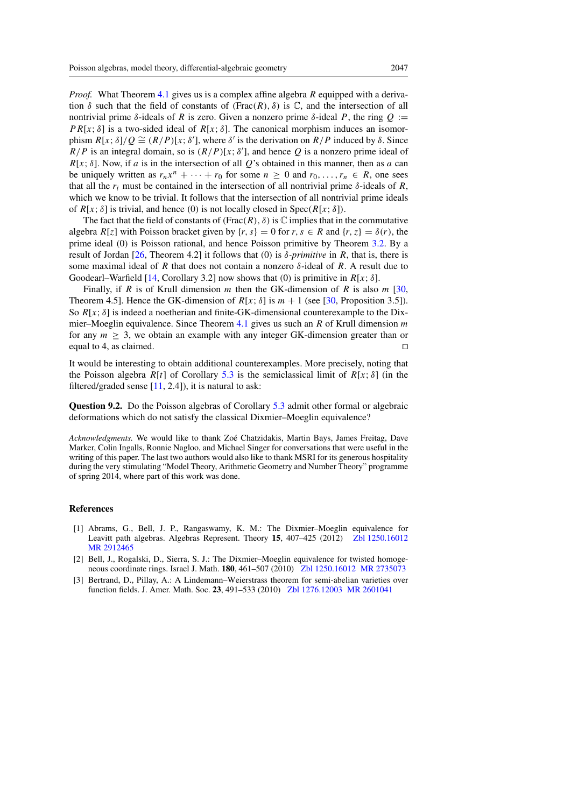*Proof.* What Theorem [4.1](#page-7-1) gives us is a complex affine algebra R equipped with a derivation  $\delta$  such that the field of constants of (Frac(R),  $\delta$ ) is  $\mathbb{C}$ , and the intersection of all nontrivial prime δ-ideals of R is zero. Given a nonzero prime δ-ideal P, the ring  $Q :=$  $PR[x; \delta]$  is a two-sided ideal of  $R[x; \delta]$ . The canonical morphism induces an isomorphism  $R[x; \delta]/Q \cong (R/P)[x; \delta']$ , where  $\delta'$  is the derivation on  $R/P$  induced by  $\delta$ . Since  $R/P$  is an integral domain, so is  $(R/P)[x; \delta']$ , and hence Q is a nonzero prime ideal of  $R[x; \delta]$ . Now, if a is in the intersection of all Q's obtained in this manner, then as a can be uniquely written as  $r_n x^n + \cdots + r_0$  for some  $n \geq 0$  and  $r_0, \ldots, r_n \in R$ , one sees that all the  $r_i$  must be contained in the intersection of all nontrivial prime  $\delta$ -ideals of R, which we know to be trivial. It follows that the intersection of all nontrivial prime ideals of  $R[x; \delta]$  is trivial, and hence (0) is not locally closed in Spec( $R[x; \delta]$ ).

The fact that the field of constants of (Frac(R),  $\delta$ ) is  $\mathbb C$  implies that in the commutative algebra  $R[z]$  with Poisson bracket given by  $\{r, s\} = 0$  for  $r, s \in R$  and  $\{r, z\} = \delta(r)$ , the prime ideal (0) is Poisson rational, and hence Poisson primitive by Theorem [3.2.](#page-6-0) By a result of Jordan [\[26,](#page-29-21) Theorem 4.2] it follows that (0) is δ*-primitive* in R, that is, there is some maximal ideal of R that does not contain a nonzero  $\delta$ -ideal of R. A result due to Goodearl–Warfield [\[14,](#page-29-22) Corollary 3.2] now shows that (0) is primitive in  $R[x; \delta]$ .

Finally, if R is of Krull dimension m then the GK-dimension of R is also  $m$  [\[30,](#page-30-17) Theorem 4.5]. Hence the GK-dimension of  $R[x; \delta]$  is  $m + 1$  (see [\[30,](#page-30-17) Proposition 3.5]). So  $R[x; \delta]$  is indeed a noetherian and finite-GK-dimensional counterexample to the Dix-mier–Moeglin equivalence. Since Theorem [4.1](#page-7-1) gives us such an R of Krull dimension  $m$ for any  $m \geq 3$ , we obtain an example with any integer GK-dimension greater than or equal to 4, as claimed. equal to 4, as claimed.

It would be interesting to obtain additional counterexamples. More precisely, noting that the Poisson algebra  $R[t]$  of Corollary [5.3](#page-15-2) is the semiclassical limit of  $R[x; \delta]$  (in the filtered/graded sense  $[11, 2.4]$  $[11, 2.4]$ , it is natural to ask:

Question 9.2. Do the Poisson algebras of Corollary [5.3](#page-15-2) admit other formal or algebraic deformations which do not satisfy the classical Dixmier–Moeglin equivalence?

*Acknowledgments.* We would like to thank Zoe Chatzidakis, Martin Bays, James Freitag, Dave ´ Marker, Colin Ingalls, Ronnie Nagloo, and Michael Singer for conversations that were useful in the writing of this paper. The last two authors would also like to thank MSRI for its generous hospitality during the very stimulating "Model Theory, Arithmetic Geometry and Number Theory" programme of spring 2014, where part of this work was done.

#### <span id="page-28-0"></span>References

- <span id="page-28-2"></span>[1] Abrams, G., Bell, J. P., Rangaswamy, K. M.: The Dixmier–Moeglin equivalence for Leavitt path algebras. Algebras Represent. Theory 15, 407-425 (2012) [Zbl 1250.16012](http://www.zentralblatt-math.org/zmath/en/advanced/?q=an:1250.16012&format=complete) [MR 2912465](http://www.ams.org/mathscinet-getitem?mr=2912465)
- <span id="page-28-1"></span>[2] Bell, J., Rogalski, D., Sierra, S. J.: The Dixmier–Moeglin equivalence for twisted homogeneous coordinate rings. Israel J. Math. 180, 461–507 (2010) [Zbl 1250.16012](http://www.zentralblatt-math.org/zmath/en/advanced/?q=an:1250.16012&format=complete) [MR 2735073](http://www.ams.org/mathscinet-getitem?mr=2735073)
- <span id="page-28-3"></span>[3] Bertrand, D., Pillay, A.: A Lindemann–Weierstrass theorem for semi-abelian varieties over function fields. J. Amer. Math. Soc. 23, 491–533 (2010) [Zbl 1276.12003](http://www.zentralblatt-math.org/zmath/en/advanced/?q=an:1276.12003&format=complete) [MR 2601041](http://www.ams.org/mathscinet-getitem?mr=2601041)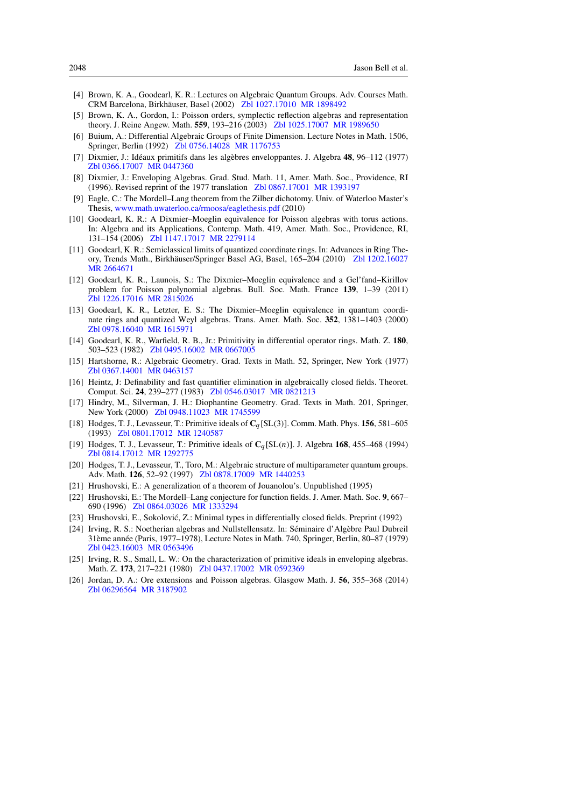- <span id="page-29-7"></span>[4] Brown, K. A., Goodearl, K. R.: Lectures on Algebraic Quantum Groups. Adv. Courses Math. CRM Barcelona, Birkhauser, Basel (2002) ¨ [Zbl 1027.17010](http://www.zentralblatt-math.org/zmath/en/advanced/?q=an:1027.17010&format=complete) [MR 1898492](http://www.ams.org/mathscinet-getitem?mr=1898492)
- <span id="page-29-8"></span>[5] Brown, K. A., Gordon, I.: Poisson orders, symplectic reflection algebras and representation theory. J. Reine Angew. Math. 559, 193–216 (2003) [Zbl 1025.17007](http://www.zentralblatt-math.org/zmath/en/advanced/?q=an:1025.17007&format=complete) [MR 1989650](http://www.ams.org/mathscinet-getitem?mr=1989650)
- <span id="page-29-14"></span>[6] Buium, A.: Differential Algebraic Groups of Finite Dimension. Lecture Notes in Math. 1506, Springer, Berlin (1992) [Zbl 0756.14028](http://www.zentralblatt-math.org/zmath/en/advanced/?q=an:0756.14028&format=complete) [MR 1176753](http://www.ams.org/mathscinet-getitem?mr=1176753)
- <span id="page-29-0"></span>[7] Dixmier, J.: Idéaux primitifs dans les algèbres enveloppantes. J. Algebra  $48$ , 96–112 (1977) [Zbl 0366.17007](http://www.zentralblatt-math.org/zmath/en/advanced/?q=an:0366.17007&format=complete) [MR 0447360](http://www.ams.org/mathscinet-getitem?mr=0447360)
- <span id="page-29-13"></span>[8] Dixmier, J.: Enveloping Algebras. Grad. Stud. Math. 11, Amer. Math. Soc., Providence, RI (1996). Revised reprint of the 1977 translation [Zbl 0867.17001](http://www.zentralblatt-math.org/zmath/en/advanced/?q=an:0867.17001&format=complete) [MR 1393197](http://www.ams.org/mathscinet-getitem?mr=1393197)
- <span id="page-29-16"></span>[9] Eagle, C.: The Mordell–Lang theorem from the Zilber dichotomy. Univ. of Waterloo Master's Thesis, [www.math.uwaterloo.ca/rmoosa/eaglethesis.pdf](http://www.math.uwaterloo.ca/rmoosa/eaglethesis.pdf) (2010)
- <span id="page-29-10"></span>[10] Goodearl, K. R.: A Dixmier–Moeglin equivalence for Poisson algebras with torus actions. In: Algebra and its Applications, Contemp. Math. 419, Amer. Math. Soc., Providence, RI, 131–154 (2006) [Zbl 1147.17017](http://www.zentralblatt-math.org/zmath/en/advanced/?q=an:1147.17017&format=complete) [MR 2279114](http://www.ams.org/mathscinet-getitem?mr=2279114)
- <span id="page-29-9"></span>[11] Goodearl, K. R.: Semiclassical limits of quantized coordinate rings. In: Advances in Ring The-ory, Trends Math., Birkhäuser/Springer Basel AG, Basel, 165-204 (2010) [Zbl 1202.16027](http://www.zentralblatt-math.org/zmath/en/advanced/?q=an:1202.16027&format=complete) [MR 2664671](http://www.ams.org/mathscinet-getitem?mr=2664671)
- <span id="page-29-11"></span>[12] Goodearl, K. R., Launois, S.: The Dixmier–Moeglin equivalence and a Gel'fand–Kirillov problem for Poisson polynomial algebras. Bull. Soc. Math. France 139, 1–39 (2011) [Zbl 1226.17016](http://www.zentralblatt-math.org/zmath/en/advanced/?q=an:1226.17016&format=complete) [MR 2815026](http://www.ams.org/mathscinet-getitem?mr=2815026)
- <span id="page-29-6"></span>[13] Goodearl, K. R., Letzter, E. S.: The Dixmier–Moeglin equivalence in quantum coordinate rings and quantized Weyl algebras. Trans. Amer. Math. Soc. 352, 1381–1403 (2000) [Zbl 0978.16040](http://www.zentralblatt-math.org/zmath/en/advanced/?q=an:0978.16040&format=complete) [MR 1615971](http://www.ams.org/mathscinet-getitem?mr=1615971)
- <span id="page-29-22"></span>[14] Goodearl, K. R., Warfield, R. B., Jr.: Primitivity in differential operator rings. Math. Z. 180, 503–523 (1982) [Zbl 0495.16002](http://www.zentralblatt-math.org/zmath/en/advanced/?q=an:0495.16002&format=complete) [MR 0667005](http://www.ams.org/mathscinet-getitem?mr=0667005)
- <span id="page-29-20"></span>[15] Hartshorne, R.: Algebraic Geometry. Grad. Texts in Math. 52, Springer, New York (1977) [Zbl 0367.14001](http://www.zentralblatt-math.org/zmath/en/advanced/?q=an:0367.14001&format=complete) [MR 0463157](http://www.ams.org/mathscinet-getitem?mr=0463157)
- <span id="page-29-19"></span>[16] Heintz, J: Definability and fast quantifier elimination in algebraically closed fields. Theoret. Comput. Sci. 24, 239–277 (1983) [Zbl 0546.03017](http://www.zentralblatt-math.org/zmath/en/advanced/?q=an:0546.03017&format=complete) [MR 0821213](http://www.ams.org/mathscinet-getitem?mr=0821213)
- <span id="page-29-18"></span>[17] Hindry, M., Silverman, J. H.: Diophantine Geometry. Grad. Texts in Math. 201, Springer, New York (2000) [Zbl 0948.11023](http://www.zentralblatt-math.org/zmath/en/advanced/?q=an:0948.11023&format=complete) [MR 1745599](http://www.ams.org/mathscinet-getitem?mr=1745599)
- <span id="page-29-3"></span>[18] Hodges, T. J., Levasseur, T.: Primitive ideals of C<sup>q</sup> [SL(3)]. Comm. Math. Phys. 156, 581–605 (1993) [Zbl 0801.17012](http://www.zentralblatt-math.org/zmath/en/advanced/?q=an:0801.17012&format=complete) [MR 1240587](http://www.ams.org/mathscinet-getitem?mr=1240587)
- <span id="page-29-4"></span>[19] Hodges, T. J., Levasseur, T.: Primitive ideals of  $C_q[SL(n)]$ . J. Algebra 168, 455–468 (1994) [Zbl 0814.17012](http://www.zentralblatt-math.org/zmath/en/advanced/?q=an:0814.17012&format=complete) [MR 1292775](http://www.ams.org/mathscinet-getitem?mr=1292775)
- <span id="page-29-5"></span>[20] Hodges, T. J., Levasseur, T., Toro, M.: Algebraic structure of multiparameter quantum groups. Adv. Math. 126, 52–92 (1997) [Zbl 0878.17009](http://www.zentralblatt-math.org/zmath/en/advanced/?q=an:0878.17009&format=complete) [MR 1440253](http://www.ams.org/mathscinet-getitem?mr=1440253)
- <span id="page-29-17"></span>[21] Hrushovski, E.: A generalization of a theorem of Jouanolou's. Unpublished (1995)
- <span id="page-29-12"></span>[22] Hrushovski, E.: The Mordell–Lang conjecture for function fields. J. Amer. Math. Soc. 9, 667– 690 (1996) [Zbl 0864.03026](http://www.zentralblatt-math.org/zmath/en/advanced/?q=an:0864.03026&format=complete) [MR 1333294](http://www.ams.org/mathscinet-getitem?mr=1333294)
- <span id="page-29-15"></span>[23] Hrushovski, E., Sokolović, Z.: Minimal types in differentially closed fields. Preprint (1992)
- <span id="page-29-2"></span>[24] Irving, R. S.: Noetherian algebras and Nullstellensatz. In: Séminaire d'Algèbre Paul Dubreil 31ème année (Paris, 1977–1978), Lecture Notes in Math. 740, Springer, Berlin, 80–87 (1979) [Zbl 0423.16003](http://www.zentralblatt-math.org/zmath/en/advanced/?q=an:0423.16003&format=complete) [MR 0563496](http://www.ams.org/mathscinet-getitem?mr=0563496)
- <span id="page-29-1"></span>[25] Irving, R. S., Small, L. W.: On the characterization of primitive ideals in enveloping algebras. Math. Z. 173, 217–221 (1980) [Zbl 0437.17002](http://www.zentralblatt-math.org/zmath/en/advanced/?q=an:0437.17002&format=complete) [MR 0592369](http://www.ams.org/mathscinet-getitem?mr=0592369)
- <span id="page-29-21"></span>[26] Jordan, D. A.: Ore extensions and Poisson algebras. Glasgow Math. J. 56, 355–368 (2014) [Zbl 06296564](http://www.zentralblatt-math.org/zmath/en/advanced/?q=an:06296564&format=complete) [MR 3187902](http://www.ams.org/mathscinet-getitem?mr=3187902)